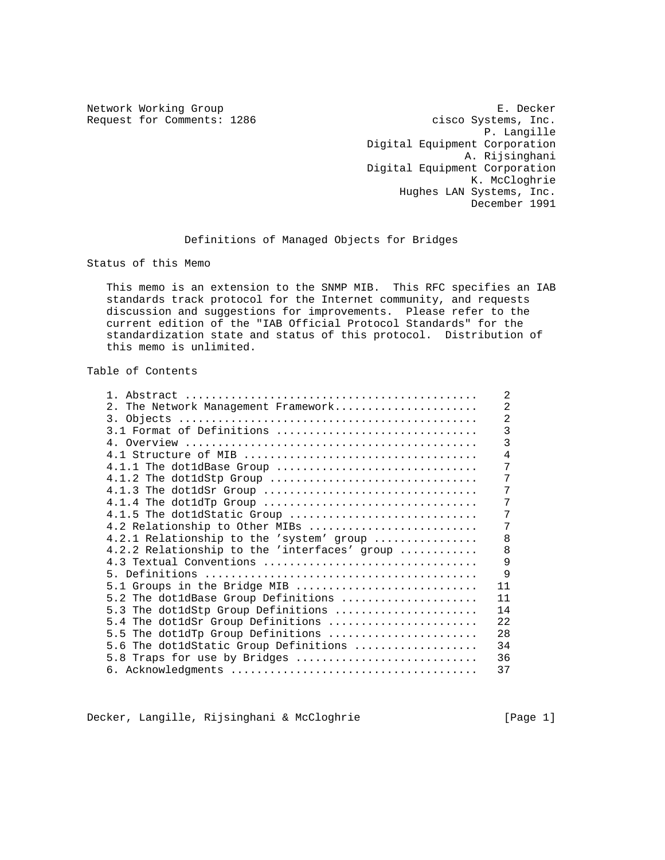Network Working Group **E. Decker** Request for Comments: 1286 cisco Systems, Inc. P. Langille Digital Equipment Corporation A. Rijsinghani Digital Equipment Corporation K. McCloghrie Hughes LAN Systems, Inc. December 1991

Definitions of Managed Objects for Bridges

Status of this Memo

 This memo is an extension to the SNMP MIB. This RFC specifies an IAB standards track protocol for the Internet community, and requests discussion and suggestions for improvements. Please refer to the current edition of the "IAB Official Protocol Standards" for the standardization state and status of this protocol. Distribution of this memo is unlimited.

# Table of Contents

| $1 \quad$                                    | $\overline{2}$ |
|----------------------------------------------|----------------|
| 2. The Network Management Framework          | $\overline{2}$ |
|                                              | $\overline{2}$ |
| 3.1 Format of Definitions                    | $\overline{3}$ |
|                                              | 3              |
|                                              | 4              |
| $4.1.1$ The dot1dBase Group                  | 7              |
| 4.1.2 The dot1dStp Group                     | 7              |
| 4.1.3 The dot1dSr Group                      | 7              |
| $4.1.4$ The dot1dTp Group                    | 7              |
| 4.1.5 The dot1dStatic Group                  | 7              |
| 4.2 Relationship to Other MIBs               | 7              |
| 4.2.1 Relationship to the 'system' group     | 8              |
| 4.2.2 Relationship to the 'interfaces' group | 8              |
| 4.3 Textual Conventions                      | 9              |
|                                              | 9              |
| 5.1 Groups in the Bridge MIB                 | 11             |
| 5.2 The dot1dBase Group Definitions          | 11             |
| 5.3 The dotldStp Group Definitions           | 14             |
| 5.4 The dotldSr Group Definitions            | 22             |
| 5.5 The dot1dTp Group Definitions            | 28             |
| 5.6 The dotldStatic Group Definitions        | 34             |
| 5.8 Traps for use by Bridges                 | 36             |
|                                              | 37             |

Decker, Langille, Rijsinghani & McCloghrie [Page 1]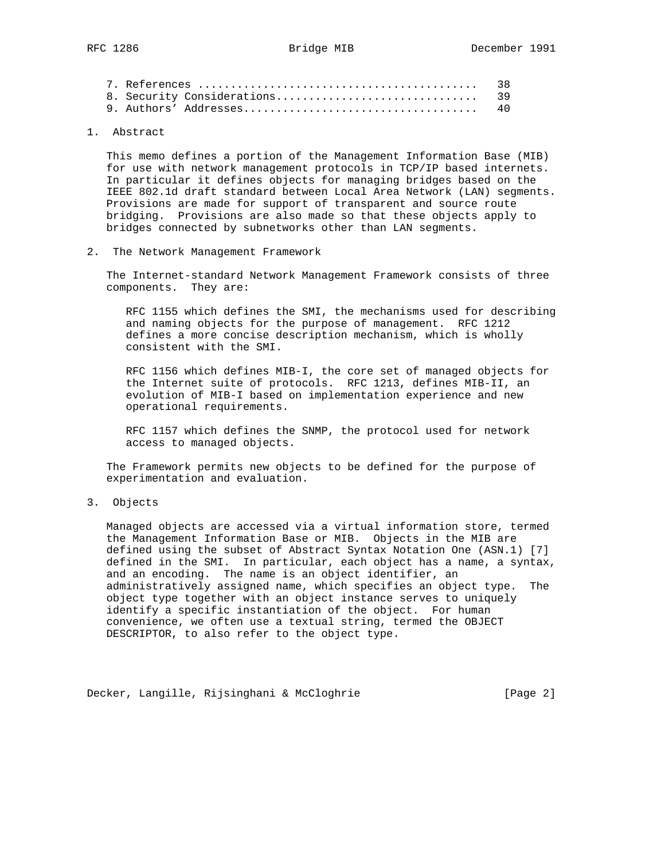|  | 38 |
|--|----|
|  |    |
|  |    |

# 1. Abstract

 This memo defines a portion of the Management Information Base (MIB) for use with network management protocols in TCP/IP based internets. In particular it defines objects for managing bridges based on the IEEE 802.1d draft standard between Local Area Network (LAN) segments. Provisions are made for support of transparent and source route bridging. Provisions are also made so that these objects apply to bridges connected by subnetworks other than LAN segments.

2. The Network Management Framework

 The Internet-standard Network Management Framework consists of three components. They are:

 RFC 1155 which defines the SMI, the mechanisms used for describing and naming objects for the purpose of management. RFC 1212 defines a more concise description mechanism, which is wholly consistent with the SMI.

 RFC 1156 which defines MIB-I, the core set of managed objects for the Internet suite of protocols. RFC 1213, defines MIB-II, an evolution of MIB-I based on implementation experience and new operational requirements.

 RFC 1157 which defines the SNMP, the protocol used for network access to managed objects.

 The Framework permits new objects to be defined for the purpose of experimentation and evaluation.

# 3. Objects

 Managed objects are accessed via a virtual information store, termed the Management Information Base or MIB. Objects in the MIB are defined using the subset of Abstract Syntax Notation One (ASN.1) [7] defined in the SMI. In particular, each object has a name, a syntax, and an encoding. The name is an object identifier, an administratively assigned name, which specifies an object type. The object type together with an object instance serves to uniquely identify a specific instantiation of the object. For human convenience, we often use a textual string, termed the OBJECT DESCRIPTOR, to also refer to the object type.

Decker, Langille, Rijsinghani & McCloghrie [Page 2]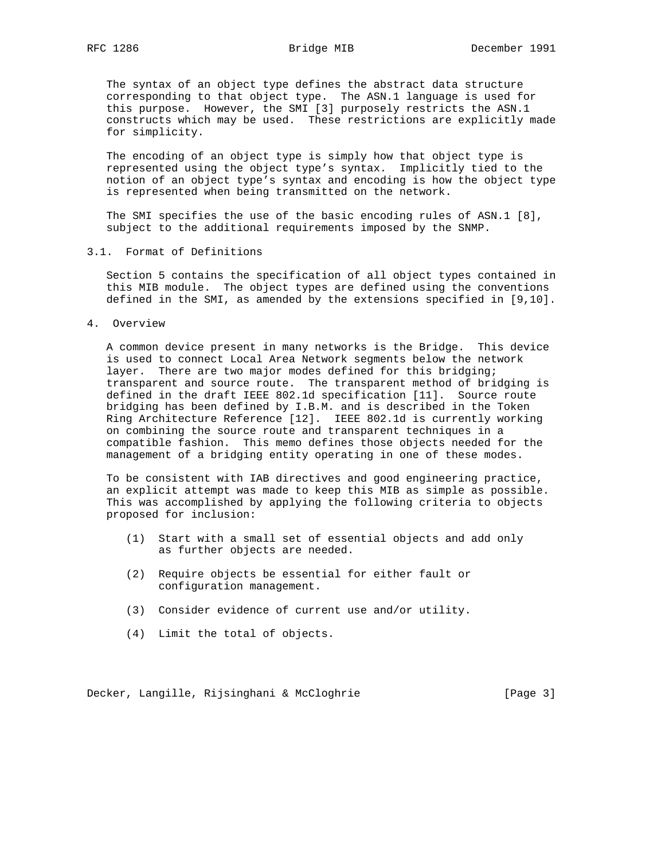The syntax of an object type defines the abstract data structure corresponding to that object type. The ASN.1 language is used for this purpose. However, the SMI [3] purposely restricts the ASN.1 constructs which may be used. These restrictions are explicitly made for simplicity.

 The encoding of an object type is simply how that object type is represented using the object type's syntax. Implicitly tied to the notion of an object type's syntax and encoding is how the object type is represented when being transmitted on the network.

 The SMI specifies the use of the basic encoding rules of ASN.1 [8], subject to the additional requirements imposed by the SNMP.

3.1. Format of Definitions

 Section 5 contains the specification of all object types contained in this MIB module. The object types are defined using the conventions defined in the SMI, as amended by the extensions specified in [9,10].

4. Overview

 A common device present in many networks is the Bridge. This device is used to connect Local Area Network segments below the network layer. There are two major modes defined for this bridging; transparent and source route. The transparent method of bridging is defined in the draft IEEE 802.1d specification [11]. Source route bridging has been defined by I.B.M. and is described in the Token Ring Architecture Reference [12]. IEEE 802.1d is currently working on combining the source route and transparent techniques in a compatible fashion. This memo defines those objects needed for the management of a bridging entity operating in one of these modes.

 To be consistent with IAB directives and good engineering practice, an explicit attempt was made to keep this MIB as simple as possible. This was accomplished by applying the following criteria to objects proposed for inclusion:

- (1) Start with a small set of essential objects and add only as further objects are needed.
- (2) Require objects be essential for either fault or configuration management.
- (3) Consider evidence of current use and/or utility.
- (4) Limit the total of objects.

Decker, Langille, Rijsinghani & McCloghrie [Page 3]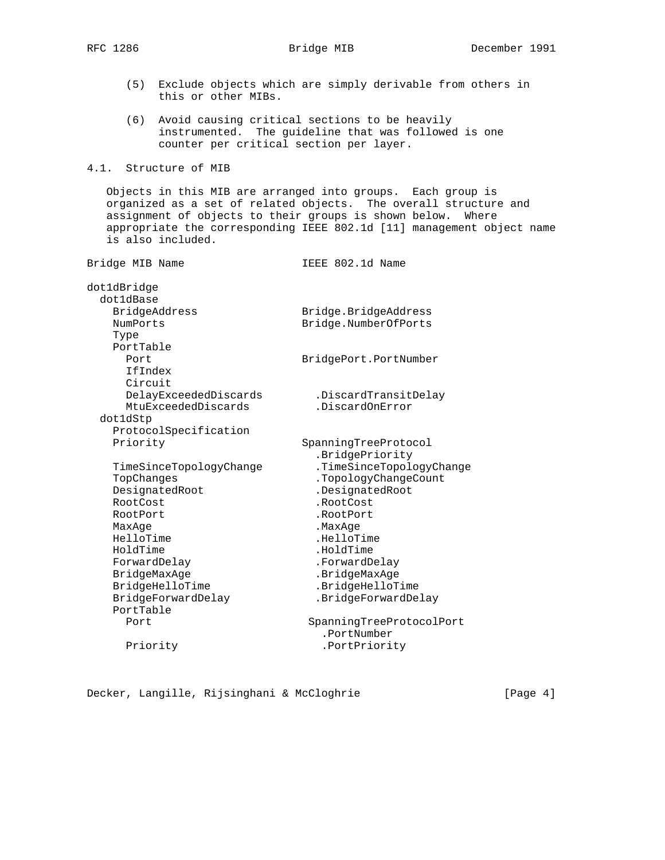(5) Exclude objects which are simply derivable from others in this or other MIBs.

 (6) Avoid causing critical sections to be heavily instrumented. The guideline that was followed is one counter per critical section per layer.

4.1. Structure of MIB

 Objects in this MIB are arranged into groups. Each group is organized as a set of related objects. The overall structure and assignment of objects to their groups is shown below. Where appropriate the corresponding IEEE 802.1d [11] management object name is also included.

| dot1dBridge             |                          |
|-------------------------|--------------------------|
| dot1dBase               |                          |
| BridgeAddress           | Bridge.BridgeAddress     |
| NumPorts                | Bridge.NumberOfPorts     |
| Type                    |                          |
| PortTable               |                          |
| Port                    | BridgePort.PortNumber    |
| IfIndex                 |                          |
| Circuit                 |                          |
| DelayExceededDiscards   | .DiscardTransitDelay     |
| MtuExceededDiscards     | .DiscardOnError          |
| dotldStp                |                          |
| ProtocolSpecification   |                          |
| Priority                | SpanningTreeProtocol     |
|                         | .BridgePriority          |
| TimeSinceTopologyChange | .TimeSinceTopologyChange |
| TopChanges              | .TopologyChangeCount     |
| DesignatedRoot          | .DesignatedRoot          |
| RootCost                | .RootCost                |
| RootPort                | .RootPort                |
| MaxAge                  | .MaxAge                  |
| HelloTime               | .HelloTime               |
| HoldTime                | .HoldTime                |
| ForwardDelay            | .ForwardDelay            |
| BridgeMaxAge            | .BridgeMaxAge            |
| BridgeHelloTime         | .BridgeHelloTime         |
| BridgeForwardDelay      | .BridgeForwardDelay      |
| PortTable               |                          |
| Port                    | SpanningTreeProtocolPort |
|                         | .PortNumber              |
| Priority                | .PortPriority            |
|                         |                          |

Bridge MIB Name **IEEE 802.1d Name** 

Decker, Langille, Rijsinghani & McCloghrie [Page 4]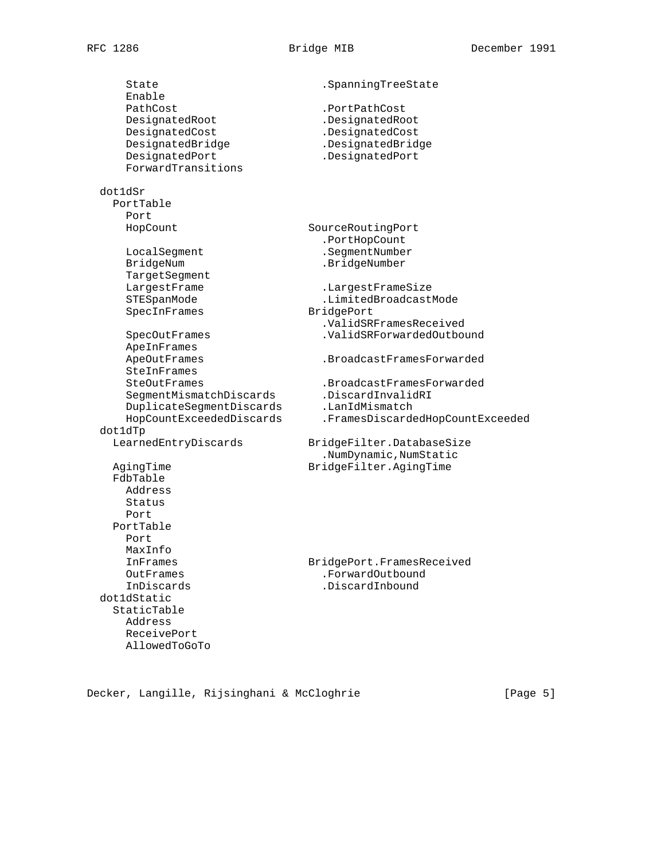State . SpanningTreeState Enable PathCost .PortPathCost<br>DesignatedRoot .DesignatedRoot DesignatedRoot<br>PesignatedCost DesignatedCost .DesignatedCost DesignatedBridge .DesignatedBridge DesignatedPort .DesignatedPort ForwardTransitions dot1dSr PortTable Port HopCount SourceRoutingPort .PortHopCount LocalSegment .SegmentNumber BridgeNum .BridgeNumber TargetSegment LargestFrame .LargestFrameSize STESpanMode .LimitedBroadcastMode SpecInFrames BridgePort .ValidSRFramesReceived SpecOutFrames .ValidSRForwardedOutbound ApeInFrames ApeOutFrames .BroadcastFramesForwarded SteInFrames SteOutFrames .BroadcastFramesForwarded SegmentMismatchDiscards .DiscardInvalidRI DuplicateSegmentDiscards .LanIdMismatch HopCountExceededDiscards .FramesDiscardedHopCountExceeded dot1dTp LearnedEntryDiscards BridgeFilter.DatabaseSize .NumDynamic,NumStatic AgingTime BridgeFilter.AgingTime FdbTable Address Status Port PortTable Port MaxInfo InFrames BridgePort.FramesReceived OutFrames .ForwardOutbound InDiscards .DiscardInbound dot1dStatic StaticTable Address ReceivePort AllowedToGoTo

Decker, Langille, Rijsinghani & McCloghrie [Page 5]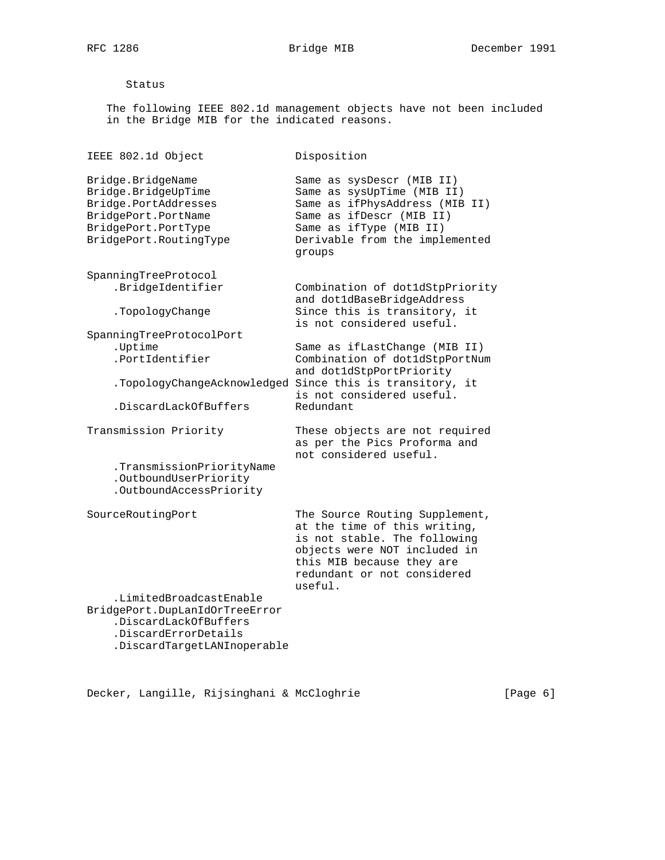### Status

 The following IEEE 802.1d management objects have not been included in the Bridge MIB for the indicated reasons.

IEEE 802.1d Object Disposition Bridge.BridgeName Same as sysDescr (MIB II) Bridge.BridgeUpTime **Same as sysUpTime** (MIB II) Bridge.PortAddresses Same as ifPhysAddress (MIB II) BridgePort.PortName Same as ifDescr (MIB II) BridgePort.PortType Same as ifType (MIB II) BridgePort.RoutingType Derivable from the implemented groups SpanningTreeProtocol .BridgeIdentifier Combination of dot1dStpPriority and dot1dBaseBridgeAddress .TopologyChange Since this is transitory, it is not considered useful. SpanningTreeProtocolPort .Uptime Same as ifLastChange (MIB II) .PortIdentifier Combination of dot1dStpPortNum and dot1dStpPortPriority .TopologyChangeAcknowledged Since this is transitory, it is not considered useful. .DiscardLackOfBuffers Redundant Transmission Priority These objects are not required as per the Pics Proforma and not considered useful. .TransmissionPriorityName .OutboundUserPriority .OutboundAccessPriority SourceRoutingPort The Source Routing Supplement, at the time of this writing, is not stable. The following objects were NOT included in this MIB because they are redundant or not considered useful. .LimitedBroadcastEnable BridgePort.DupLanIdOrTreeError .DiscardLackOfBuffers .DiscardErrorDetails .DiscardTargetLANInoperable

Decker, Langille, Rijsinghani & McCloghrie (Page 6)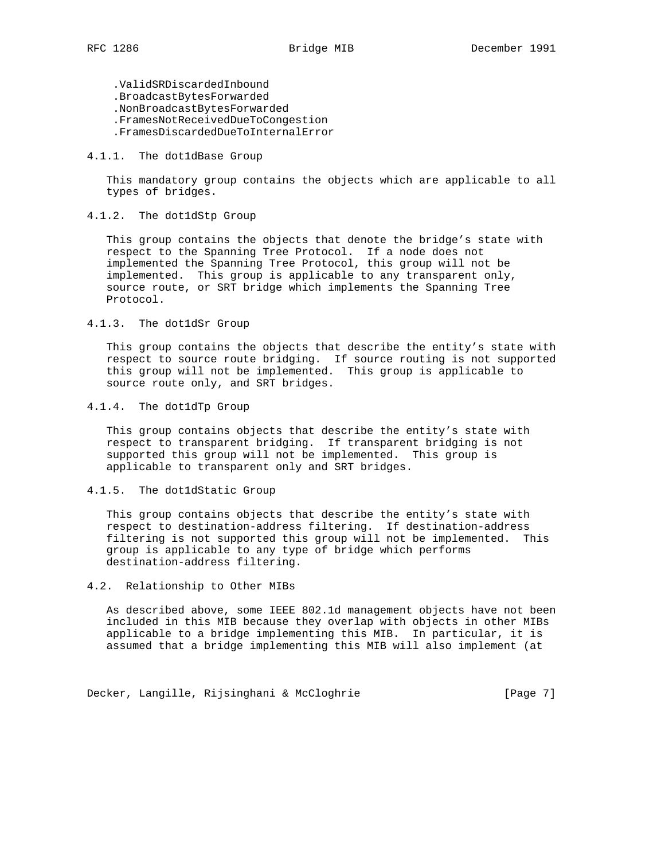.ValidSRDiscardedInbound .BroadcastBytesForwarded .NonBroadcastBytesForwarded .FramesNotReceivedDueToCongestion .FramesDiscardedDueToInternalError

## 4.1.1. The dot1dBase Group

 This mandatory group contains the objects which are applicable to all types of bridges.

## 4.1.2. The dot1dStp Group

 This group contains the objects that denote the bridge's state with respect to the Spanning Tree Protocol. If a node does not implemented the Spanning Tree Protocol, this group will not be implemented. This group is applicable to any transparent only, source route, or SRT bridge which implements the Spanning Tree Protocol.

### 4.1.3. The dot1dSr Group

 This group contains the objects that describe the entity's state with respect to source route bridging. If source routing is not supported this group will not be implemented. This group is applicable to source route only, and SRT bridges.

### 4.1.4. The dot1dTp Group

 This group contains objects that describe the entity's state with respect to transparent bridging. If transparent bridging is not supported this group will not be implemented. This group is applicable to transparent only and SRT bridges.

# 4.1.5. The dot1dStatic Group

 This group contains objects that describe the entity's state with respect to destination-address filtering. If destination-address filtering is not supported this group will not be implemented. This group is applicable to any type of bridge which performs destination-address filtering.

### 4.2. Relationship to Other MIBs

 As described above, some IEEE 802.1d management objects have not been included in this MIB because they overlap with objects in other MIBs applicable to a bridge implementing this MIB. In particular, it is assumed that a bridge implementing this MIB will also implement (at

Decker, Langille, Rijsinghani & McCloghrie [Page 7]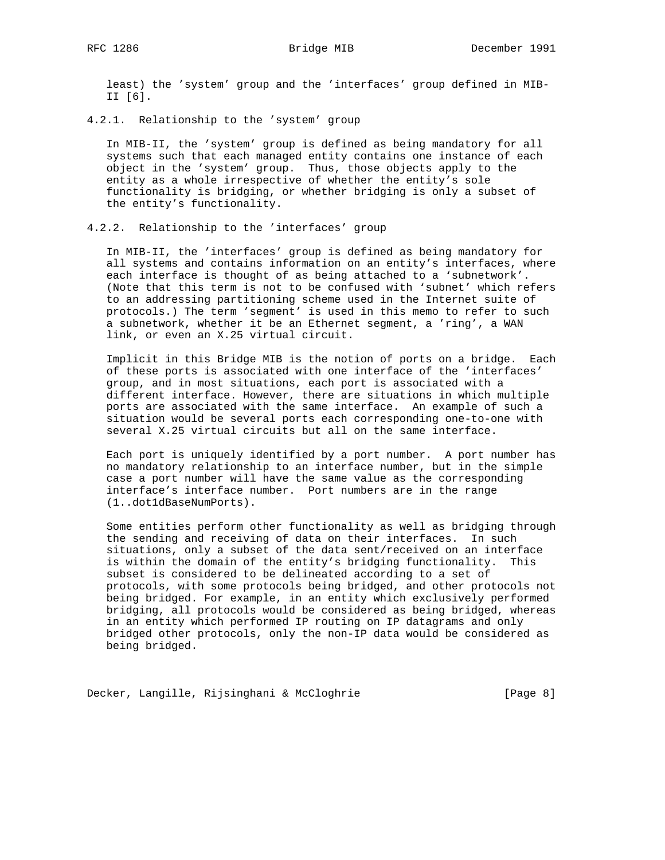least) the 'system' group and the 'interfaces' group defined in MIB- II [6].

4.2.1. Relationship to the 'system' group

 In MIB-II, the 'system' group is defined as being mandatory for all systems such that each managed entity contains one instance of each object in the 'system' group. Thus, those objects apply to the entity as a whole irrespective of whether the entity's sole functionality is bridging, or whether bridging is only a subset of the entity's functionality.

## 4.2.2. Relationship to the 'interfaces' group

 In MIB-II, the 'interfaces' group is defined as being mandatory for all systems and contains information on an entity's interfaces, where each interface is thought of as being attached to a 'subnetwork'. (Note that this term is not to be confused with 'subnet' which refers to an addressing partitioning scheme used in the Internet suite of protocols.) The term 'segment' is used in this memo to refer to such a subnetwork, whether it be an Ethernet segment, a 'ring', a WAN link, or even an X.25 virtual circuit.

 Implicit in this Bridge MIB is the notion of ports on a bridge. Each of these ports is associated with one interface of the 'interfaces' group, and in most situations, each port is associated with a different interface. However, there are situations in which multiple ports are associated with the same interface. An example of such a situation would be several ports each corresponding one-to-one with several X.25 virtual circuits but all on the same interface.

 Each port is uniquely identified by a port number. A port number has no mandatory relationship to an interface number, but in the simple case a port number will have the same value as the corresponding interface's interface number. Port numbers are in the range (1..dot1dBaseNumPorts).

 Some entities perform other functionality as well as bridging through the sending and receiving of data on their interfaces. In such situations, only a subset of the data sent/received on an interface is within the domain of the entity's bridging functionality. This subset is considered to be delineated according to a set of protocols, with some protocols being bridged, and other protocols not being bridged. For example, in an entity which exclusively performed bridging, all protocols would be considered as being bridged, whereas in an entity which performed IP routing on IP datagrams and only bridged other protocols, only the non-IP data would be considered as being bridged.

Decker, Langille, Rijsinghani & McCloghrie [Page 8]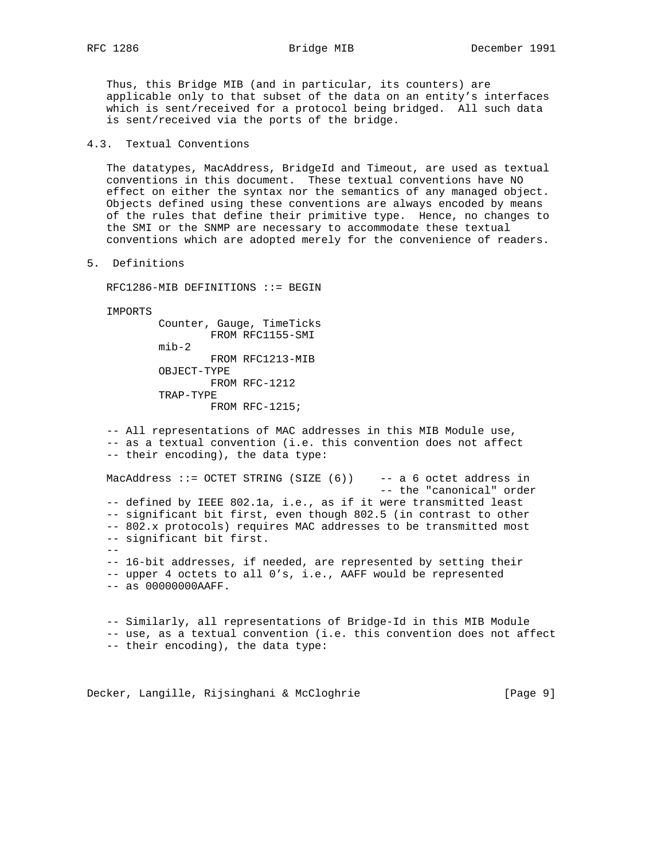Thus, this Bridge MIB (and in particular, its counters) are applicable only to that subset of the data on an entity's interfaces which is sent/received for a protocol being bridged. All such data is sent/received via the ports of the bridge.

# 4.3. Textual Conventions

 The datatypes, MacAddress, BridgeId and Timeout, are used as textual conventions in this document. These textual conventions have NO effect on either the syntax nor the semantics of any managed object. Objects defined using these conventions are always encoded by means of the rules that define their primitive type. Hence, no changes to the SMI or the SNMP are necessary to accommodate these textual conventions which are adopted merely for the convenience of readers.

### 5. Definitions

RFC1286-MIB DEFINITIONS ::= BEGIN

IMPORTS

 Counter, Gauge, TimeTicks FROM RFC1155-SMI mib-2 FROM RFC1213-MIB OBJECT-TYPE FROM RFC-1212 TRAP-TYPE FROM RFC-1215;

 -- All representations of MAC addresses in this MIB Module use, -- as a textual convention (i.e. this convention does not affect -- their encoding), the data type: MacAddress ::= OCTET STRING (SIZE (6)) -- a 6 octet address in -- the "canonical" order -- defined by IEEE 802.1a, i.e., as if it were transmitted least -- significant bit first, even though 802.5 (in contrast to other -- 802.x protocols) requires MAC addresses to be transmitted most -- significant bit first. -- -- 16-bit addresses, if needed, are represented by setting their -- upper 4 octets to all 0's, i.e., AAFF would be represented -- as 00000000AAFF.

 -- Similarly, all representations of Bridge-Id in this MIB Module -- use, as a textual convention (i.e. this convention does not affect -- their encoding), the data type:

Decker, Langille, Rijsinghani & McCloghrie [Page 9]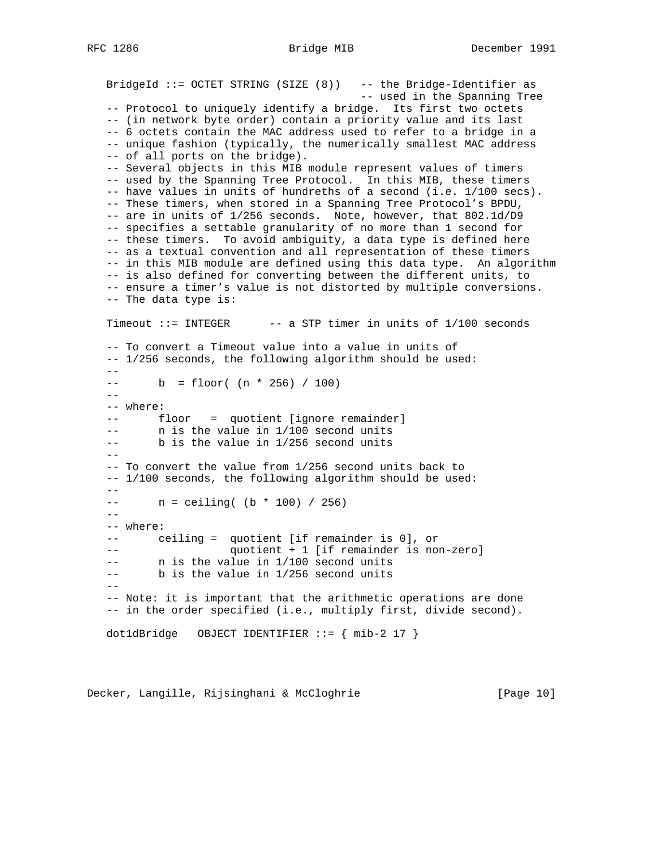BridgeId ::= OCTET STRING (SIZE (8)) -- the Bridge-Identifier as -- used in the Spanning Tree -- Protocol to uniquely identify a bridge. Its first two octets -- (in network byte order) contain a priority value and its last -- 6 octets contain the MAC address used to refer to a bridge in a -- unique fashion (typically, the numerically smallest MAC address -- of all ports on the bridge). -- Several objects in this MIB module represent values of timers -- used by the Spanning Tree Protocol. In this MIB, these timers -- have values in units of hundreths of a second (i.e. 1/100 secs). -- These timers, when stored in a Spanning Tree Protocol's BPDU, -- are in units of 1/256 seconds. Note, however, that 802.1d/D9 -- specifies a settable granularity of no more than 1 second for -- these timers. To avoid ambiguity, a data type is defined here -- as a textual convention and all representation of these timers -- in this MIB module are defined using this data type. An algorithm -- is also defined for converting between the different units, to -- ensure a timer's value is not distorted by multiple conversions. -- The data type is: Timeout  $::=$  INTEGER  $--$  a STP timer in units of  $1/100$  seconds -- To convert a Timeout value into a value in units of -- 1/256 seconds, the following algorithm should be used:  $-$  -- b = floor( (n \* 256) / 100) -- -- where: -- floor = quotient [ignore remainder] -- n is the value in 1/100 second units -- b is the value in 1/256 second units  $--$  -- To convert the value from 1/256 second units back to -- 1/100 seconds, the following algorithm should be used:  $--$  n = ceiling( (b \* 100) / 256)  $- -$  -- where: -- ceiling = quotient [if remainder is 0], or -- quotient + 1 [if remainder is non-zero] -- n is the value in 1/100 second units -- b is the value in 1/256 second units  $- -$  -- Note: it is important that the arithmetic operations are done -- in the order specified (i.e., multiply first, divide second). dot1dBridge OBJECT IDENTIFIER  $::= \{ mb-2 17 \}$ 

Decker, Langille, Rijsinghani & McCloghrie [Page 10]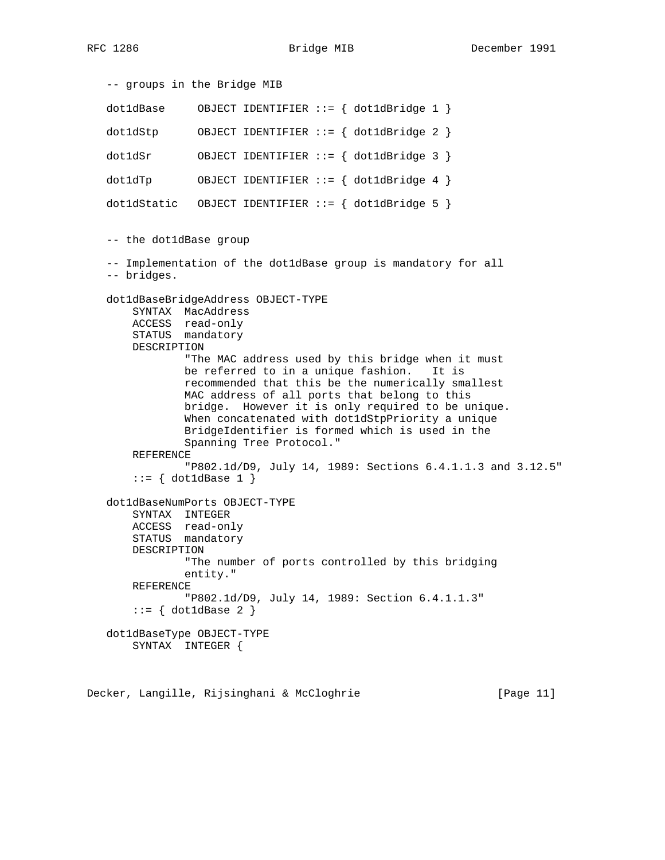-- groups in the Bridge MIB dot1dBase OBJECT IDENTIFIER ::= { dot1dBridge 1 } dot1dStp OBJECT IDENTIFIER ::= { dot1dBridge 2 } dot1dSr OBJECT IDENTIFIER ::= { dot1dBridge 3 } dot1dTp OBJECT IDENTIFIER ::= { dot1dBridge 4 } dot1dStatic OBJECT IDENTIFIER  $::=$  { dot1dBridge 5 } -- the dot1dBase group -- Implementation of the dot1dBase group is mandatory for all -- bridges. dot1dBaseBridgeAddress OBJECT-TYPE SYNTAX MacAddress ACCESS read-only STATUS mandatory DESCRIPTION "The MAC address used by this bridge when it must be referred to in a unique fashion. It is recommended that this be the numerically smallest MAC address of all ports that belong to this bridge. However it is only required to be unique. When concatenated with dot1dStpPriority a unique BridgeIdentifier is formed which is used in the Spanning Tree Protocol." REFERENCE "P802.1d/D9, July 14, 1989: Sections 6.4.1.1.3 and 3.12.5"  $::=$  { dot1dBase 1 } dot1dBaseNumPorts OBJECT-TYPE SYNTAX INTEGER ACCESS read-only STATUS mandatory DESCRIPTION "The number of ports controlled by this bridging entity." REFERENCE "P802.1d/D9, July 14, 1989: Section 6.4.1.1.3"  $::=$  { dot1dBase 2 } dot1dBaseType OBJECT-TYPE SYNTAX INTEGER {

Decker, Langille, Rijsinghani & McCloghrie [Page 11]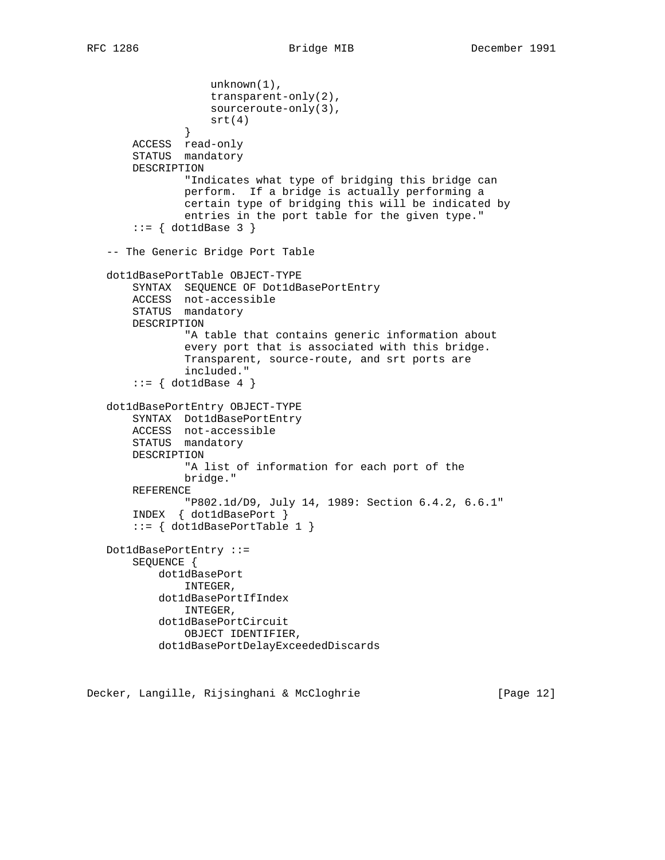```
 unknown(1),
                   transparent-only(2),
                   sourceroute-only(3),
                   srt(4)
}
      ACCESS read-only
      STATUS mandatory
      DESCRIPTION
               "Indicates what type of bridging this bridge can
               perform. If a bridge is actually performing a
               certain type of bridging this will be indicated by
               entries in the port table for the given type."
      ::= \{ dot1dBase 3 \} -- The Generic Bridge Port Table
  dot1dBasePortTable OBJECT-TYPE
      SYNTAX SEQUENCE OF Dot1dBasePortEntry
      ACCESS not-accessible
      STATUS mandatory
      DESCRIPTION
               "A table that contains generic information about
               every port that is associated with this bridge.
               Transparent, source-route, and srt ports are
               included."
      ::= { dot1dBase 4 }
  dot1dBasePortEntry OBJECT-TYPE
      SYNTAX Dot1dBasePortEntry
      ACCESS not-accessible
      STATUS mandatory
      DESCRIPTION
               "A list of information for each port of the
              bridge."
      REFERENCE
               "P802.1d/D9, July 14, 1989: Section 6.4.2, 6.6.1"
       INDEX { dot1dBasePort }
      ::= \{ dot1dBasePortTable 1 \} Dot1dBasePortEntry ::=
      SEQUENCE {
          dot1dBasePort
               INTEGER,
           dot1dBasePortIfIndex
               INTEGER,
           dot1dBasePortCircuit
               OBJECT IDENTIFIER,
           dot1dBasePortDelayExceededDiscards
```
Decker, Langille, Rijsinghani & McCloghrie [Page 12]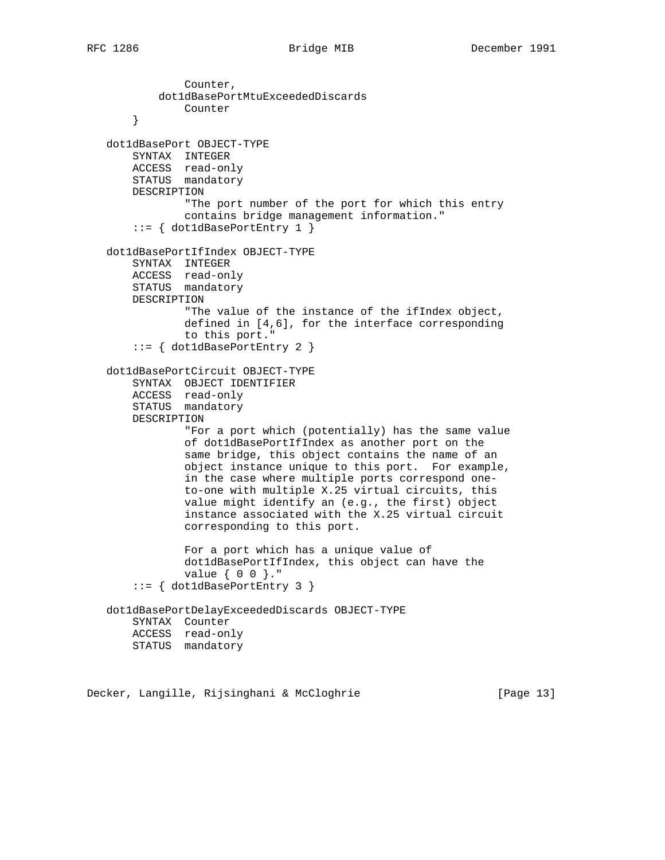Counter, dot1dBasePortMtuExceededDiscards Counter } dot1dBasePort OBJECT-TYPE SYNTAX INTEGER ACCESS read-only STATUS mandatory DESCRIPTION "The port number of the port for which this entry contains bridge management information." ::= { dot1dBasePortEntry 1 } dot1dBasePortIfIndex OBJECT-TYPE SYNTAX INTEGER ACCESS read-only STATUS mandatory DESCRIPTION "The value of the instance of the ifIndex object, defined in [4,6], for the interface corresponding to this port." ::= { dot1dBasePortEntry 2 } dot1dBasePortCircuit OBJECT-TYPE SYNTAX OBJECT IDENTIFIER ACCESS read-only STATUS mandatory DESCRIPTION "For a port which (potentially) has the same value of dot1dBasePortIfIndex as another port on the same bridge, this object contains the name of an object instance unique to this port. For example, in the case where multiple ports correspond one to-one with multiple X.25 virtual circuits, this value might identify an (e.g., the first) object instance associated with the X.25 virtual circuit corresponding to this port. For a port which has a unique value of dot1dBasePortIfIndex, this object can have the value { 0 0 }." ::= { dot1dBasePortEntry 3 } dot1dBasePortDelayExceededDiscards OBJECT-TYPE SYNTAX Counter ACCESS read-only STATUS mandatory

Decker, Langille, Rijsinghani & McCloghrie [Page 13]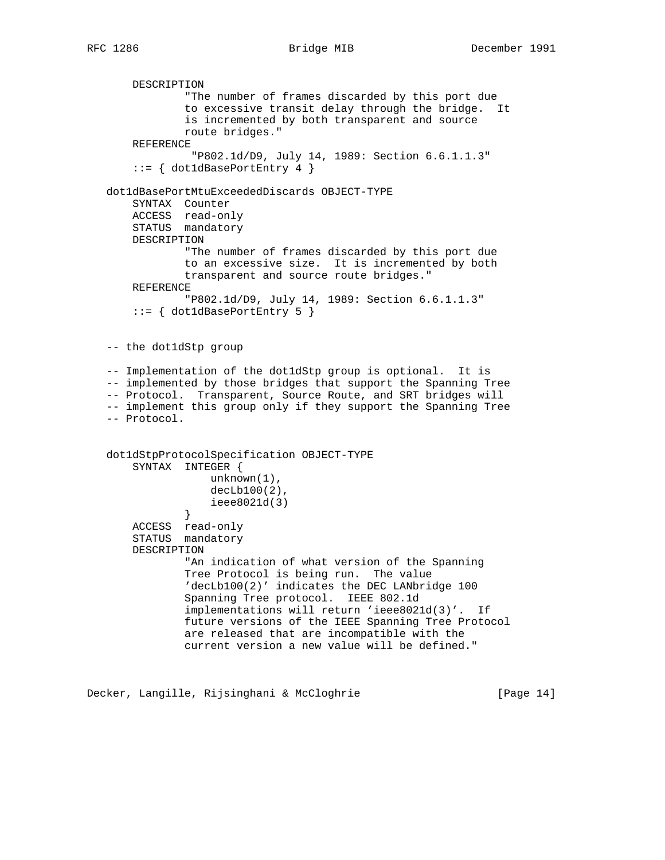DESCRIPTION "The number of frames discarded by this port due to excessive transit delay through the bridge. It is incremented by both transparent and source route bridges." REFERENCE "P802.1d/D9, July 14, 1989: Section 6.6.1.1.3" ::= { dot1dBasePortEntry 4 } dot1dBasePortMtuExceededDiscards OBJECT-TYPE SYNTAX Counter ACCESS read-only STATUS mandatory DESCRIPTION "The number of frames discarded by this port due to an excessive size. It is incremented by both transparent and source route bridges." REFERENCE "P802.1d/D9, July 14, 1989: Section 6.6.1.1.3" ::= { dot1dBasePortEntry 5 } -- the dot1dStp group -- Implementation of the dot1dStp group is optional. It is -- implemented by those bridges that support the Spanning Tree -- Protocol. Transparent, Source Route, and SRT bridges will -- implement this group only if they support the Spanning Tree -- Protocol. dot1dStpProtocolSpecification OBJECT-TYPE SYNTAX INTEGER { unknown(1), decLb100(2), ieee8021d(3)<br>} } ACCESS read-only STATUS mandatory DESCRIPTION "An indication of what version of the Spanning Tree Protocol is being run. The value 'decLb100(2)' indicates the DEC LANbridge 100 Spanning Tree protocol. IEEE 802.1d implementations will return 'ieee8021d(3)'. If future versions of the IEEE Spanning Tree Protocol are released that are incompatible with the current version a new value will be defined."

Decker, Langille, Rijsinghani & McCloghrie [Page 14]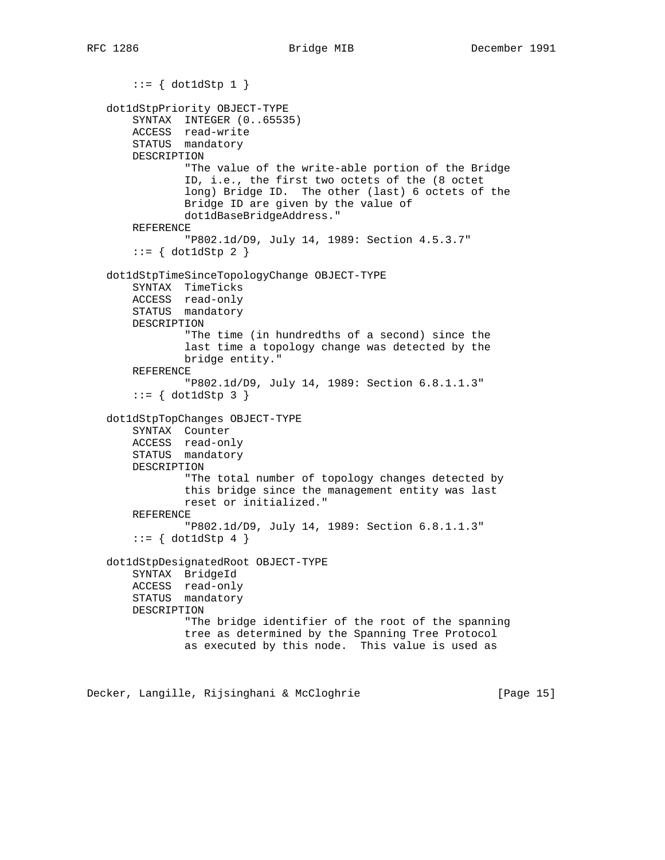```
::= \{ dot1dStp 1 \} dot1dStpPriority OBJECT-TYPE
       SYNTAX INTEGER (0..65535)
ACCESS read-write
STATUS mandatory
      DESCRIPTION
               "The value of the write-able portion of the Bridge
               ID, i.e., the first two octets of the (8 octet
               long) Bridge ID. The other (last) 6 octets of the
               Bridge ID are given by the value of
               dot1dBaseBridgeAddress."
      REFERENCE
               "P802.1d/D9, July 14, 1989: Section 4.5.3.7"
      ::= \{ dot1dStp 2 \} dot1dStpTimeSinceTopologyChange OBJECT-TYPE
       SYNTAX TimeTicks
      ACCESS read-only
      STATUS mandatory
      DESCRIPTION
               "The time (in hundredths of a second) since the
               last time a topology change was detected by the
               bridge entity."
      REFERENCE
               "P802.1d/D9, July 14, 1989: Section 6.8.1.1.3"
      ::= \{ dot1dStp 3 \} dot1dStpTopChanges OBJECT-TYPE
      SYNTAX Counter
      ACCESS read-only
      STATUS mandatory
      DESCRIPTION
               "The total number of topology changes detected by
               this bridge since the management entity was last
               reset or initialized."
      REFERENCE
               "P802.1d/D9, July 14, 1989: Section 6.8.1.1.3"
      ::= \{ dot1dStp 4 \} dot1dStpDesignatedRoot OBJECT-TYPE
      SYNTAX BridgeId
      ACCESS read-only
      STATUS mandatory
      DESCRIPTION
               "The bridge identifier of the root of the spanning
               tree as determined by the Spanning Tree Protocol
               as executed by this node. This value is used as
```
Decker, Langille, Rijsinghani & McCloghrie [Page 15]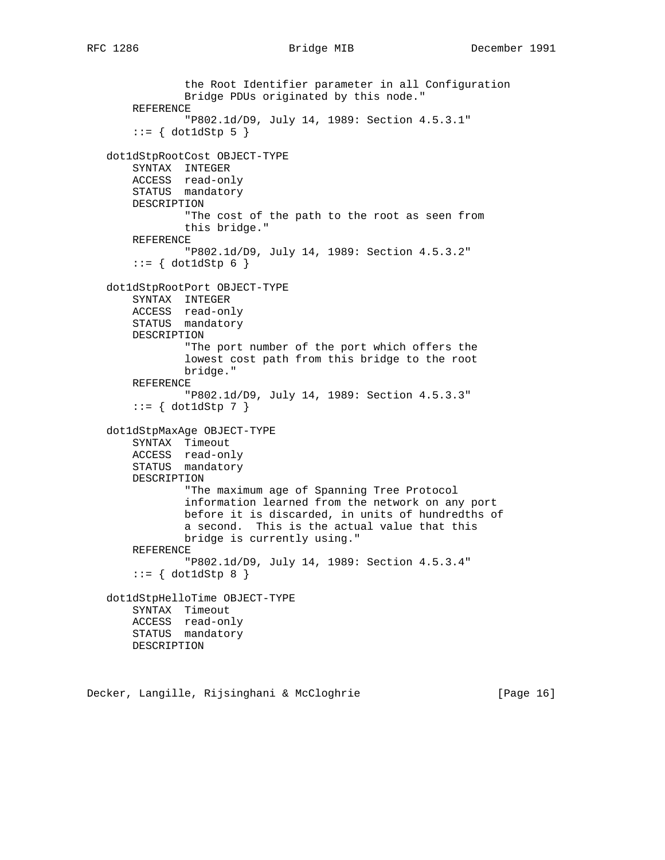```
 the Root Identifier parameter in all Configuration
            Bridge PDUs originated by this node."
    REFERENCE
            "P802.1d/D9, July 14, 1989: Section 4.5.3.1"
    ::= { dot1dStp 5 }
dot1dStpRootCost OBJECT-TYPE
   SYNTAX INTEGER
   ACCESS read-only
   STATUS mandatory
   DESCRIPTION
            "The cost of the path to the root as seen from
            this bridge."
    REFERENCE
            "P802.1d/D9, July 14, 1989: Section 4.5.3.2"
   ::= \{ dot1dStp 6 \} dot1dStpRootPort OBJECT-TYPE
   SYNTAX INTEGER
   ACCESS read-only
   STATUS mandatory
   DESCRIPTION
            "The port number of the port which offers the
            lowest cost path from this bridge to the root
            bridge."
    REFERENCE
            "P802.1d/D9, July 14, 1989: Section 4.5.3.3"
   ::= { dot1dStp 7 }
dot1dStpMaxAge OBJECT-TYPE
    SYNTAX Timeout
   ACCESS read-only
   STATUS mandatory
   DESCRIPTION
            "The maximum age of Spanning Tree Protocol
            information learned from the network on any port
            before it is discarded, in units of hundredths of
            a second. This is the actual value that this
            bridge is currently using."
    REFERENCE
            "P802.1d/D9, July 14, 1989: Section 4.5.3.4"
   ::= { dot1dStp 8 }
dot1dStpHelloTime OBJECT-TYPE
    SYNTAX Timeout
   ACCESS read-only
   STATUS mandatory
   DESCRIPTION
```
Decker, Langille, Rijsinghani & McCloghrie [Page 16]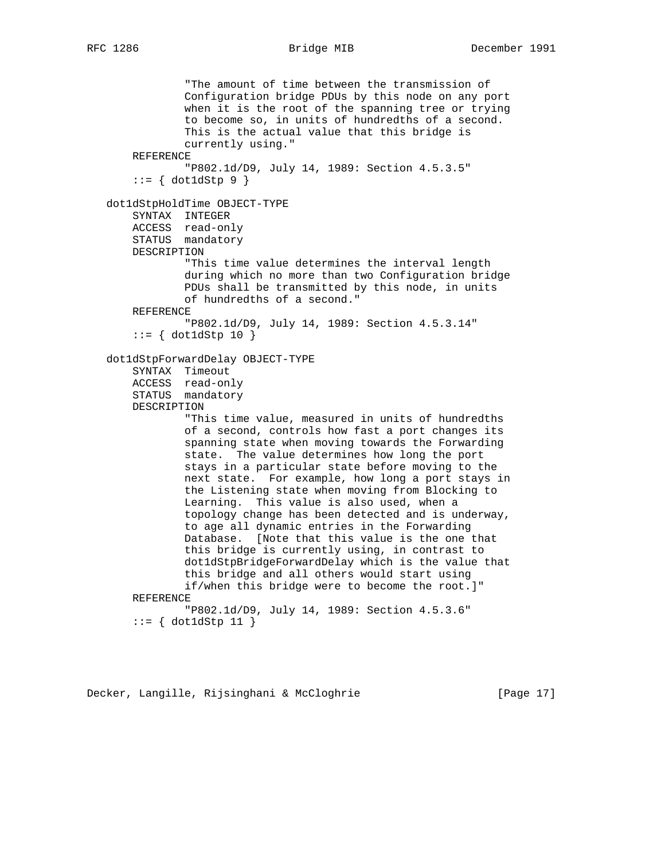```
 "The amount of time between the transmission of
            Configuration bridge PDUs by this node on any port
            when it is the root of the spanning tree or trying
            to become so, in units of hundredths of a second.
            This is the actual value that this bridge is
            currently using."
    REFERENCE
            "P802.1d/D9, July 14, 1989: Section 4.5.3.5"
   ::= \{ dot1dStep 9 \} dot1dStpHoldTime OBJECT-TYPE
   SYNTAX INTEGER
    ACCESS read-only
    STATUS mandatory
    DESCRIPTION
            "This time value determines the interval length
            during which no more than two Configuration bridge
            PDUs shall be transmitted by this node, in units
            of hundredths of a second."
    REFERENCE
            "P802.1d/D9, July 14, 1989: Section 4.5.3.14"
   ::= { dot1dStp 10 }
dot1dStpForwardDelay OBJECT-TYPE
    SYNTAX Timeout
    ACCESS read-only
    STATUS mandatory
    DESCRIPTION
            "This time value, measured in units of hundredths
            of a second, controls how fast a port changes its
            spanning state when moving towards the Forwarding
            state. The value determines how long the port
            stays in a particular state before moving to the
            next state. For example, how long a port stays in
            the Listening state when moving from Blocking to
            Learning. This value is also used, when a
            topology change has been detected and is underway,
            to age all dynamic entries in the Forwarding
            Database. [Note that this value is the one that
            this bridge is currently using, in contrast to
            dot1dStpBridgeForwardDelay which is the value that
            this bridge and all others would start using
            if/when this bridge were to become the root.]"
    REFERENCE
            "P802.1d/D9, July 14, 1989: Section 4.5.3.6"
    ::= { dot1dStp 11 }
```
Decker, Langille, Rijsinghani & McCloghrie [Page 17]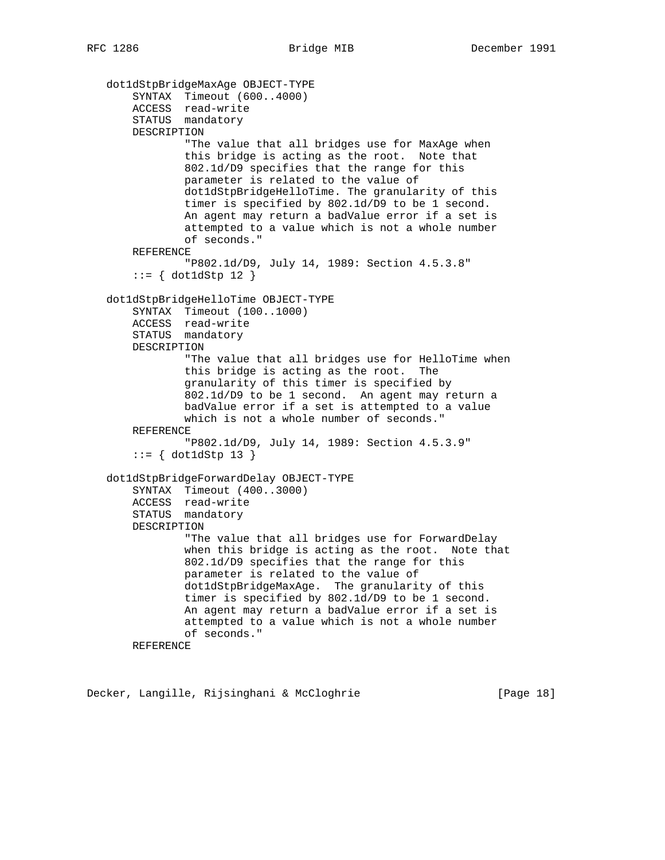```
 dot1dStpBridgeMaxAge OBJECT-TYPE
    SYNTAX Timeout (600..4000)
    ACCESS read-write
    STATUS mandatory
   DESCRIPTION
            "The value that all bridges use for MaxAge when
            this bridge is acting as the root. Note that
            802.1d/D9 specifies that the range for this
            parameter is related to the value of
            dot1dStpBridgeHelloTime. The granularity of this
            timer is specified by 802.1d/D9 to be 1 second.
            An agent may return a badValue error if a set is
            attempted to a value which is not a whole number
            of seconds."
    REFERENCE
            "P802.1d/D9, July 14, 1989: Section 4.5.3.8"
   ::= { dot1dStp 12 }
dot1dStpBridgeHelloTime OBJECT-TYPE
    SYNTAX Timeout (100..1000)
    ACCESS read-write
    STATUS mandatory
   DESCRIPTION
            "The value that all bridges use for HelloTime when
            this bridge is acting as the root. The
            granularity of this timer is specified by
           grandfarry of the same was a second. An agent may return a
            badValue error if a set is attempted to a value
            which is not a whole number of seconds."
    REFERENCE
            "P802.1d/D9, July 14, 1989: Section 4.5.3.9"
   ::= { dot1dStp 13 }
dot1dStpBridgeForwardDelay OBJECT-TYPE
    SYNTAX Timeout (400..3000)
   ACCESS read-write
    STATUS mandatory
    DESCRIPTION
            "The value that all bridges use for ForwardDelay
            when this bridge is acting as the root. Note that
            802.1d/D9 specifies that the range for this
            parameter is related to the value of
            dot1dStpBridgeMaxAge. The granularity of this
            timer is specified by 802.1d/D9 to be 1 second.
            An agent may return a badValue error if a set is
            attempted to a value which is not a whole number
            of seconds."
    REFERENCE
```
Decker, Langille, Rijsinghani & McCloghrie [Page 18]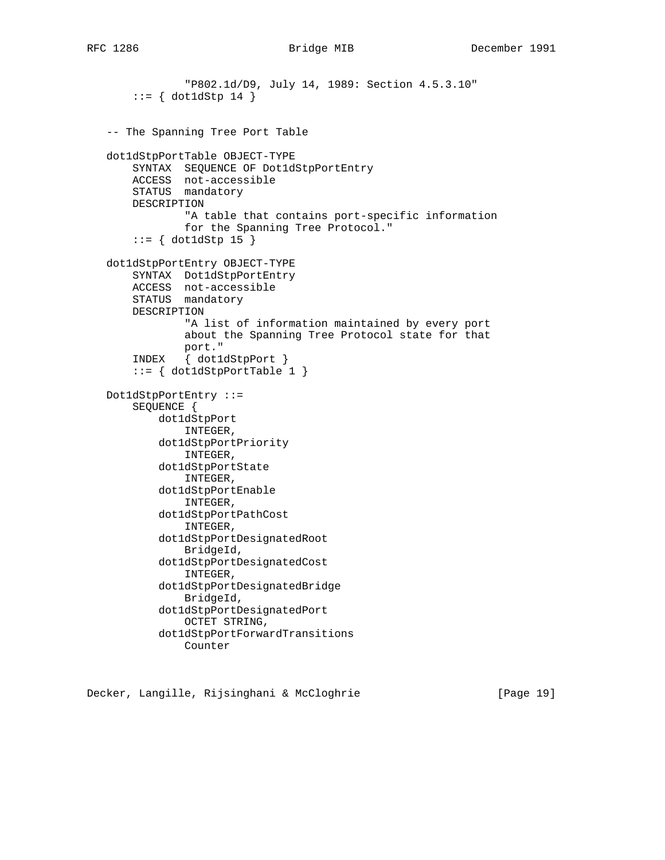```
 "P802.1d/D9, July 14, 1989: Section 4.5.3.10"
      ::= { dot1dStp 14 }
  -- The Spanning Tree Port Table
  dot1dStpPortTable OBJECT-TYPE
      SYNTAX SEQUENCE OF Dot1dStpPortEntry
      ACCESS not-accessible
      STATUS mandatory
      DESCRIPTION
               "A table that contains port-specific information
               for the Spanning Tree Protocol."
      ::= \{ dot1 dStp 15 \} dot1dStpPortEntry OBJECT-TYPE
      SYNTAX Dot1dStpPortEntry
      ACCESS not-accessible
      STATUS mandatory
      DESCRIPTION
               "A list of information maintained by every port
              about the Spanning Tree Protocol state for that
port."
INDEX { dot1dStpPort }
       ::= { dot1dStpPortTable 1 }
  Dot1dStpPortEntry ::=
       SEQUENCE {
          dot1dStpPort
               INTEGER,
           dot1dStpPortPriority
               INTEGER,
           dot1dStpPortState
              INTEGER,
           dot1dStpPortEnable
               INTEGER,
           dot1dStpPortPathCost
               INTEGER,
           dot1dStpPortDesignatedRoot
               BridgeId,
           dot1dStpPortDesignatedCost
               INTEGER,
           dot1dStpPortDesignatedBridge
               BridgeId,
           dot1dStpPortDesignatedPort
               OCTET STRING,
           dot1dStpPortForwardTransitions
               Counter
```
Decker, Langille, Rijsinghani & McCloghrie [Page 19]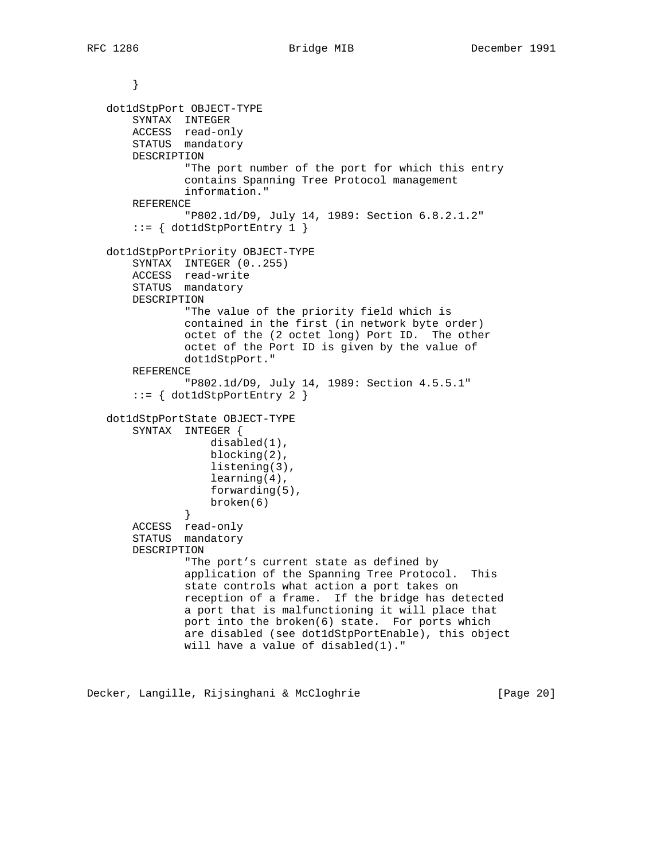```
 }
  dot1dStpPort OBJECT-TYPE
      SYNTAX INTEGER
ACCESS read-only
STATUS mandatory
      DESCRIPTION
              "The port number of the port for which this entry
              contains Spanning Tree Protocol management
              information."
      REFERENCE
               "P802.1d/D9, July 14, 1989: Section 6.8.2.1.2"
       ::= { dot1dStpPortEntry 1 }
  dot1dStpPortPriority OBJECT-TYPE
      SYNTAX INTEGER (0..255)
      ACCESS read-write
      STATUS mandatory
      DESCRIPTION
              "The value of the priority field which is
              contained in the first (in network byte order)
              octet of the (2 octet long) Port ID. The other
              octet of the Port ID is given by the value of
              dot1dStpPort."
      REFERENCE
               "P802.1d/D9, July 14, 1989: Section 4.5.5.1"
       ::= { dot1dStpPortEntry 2 }
  dot1dStpPortState OBJECT-TYPE
      SYNTAX INTEGER {
                  disabled(1),
                  blocking(2),
                   listening(3),
                   learning(4),
                   forwarding(5),
              broken(6)<br>}
}
      ACCESS read-only
      STATUS mandatory
      DESCRIPTION
              "The port's current state as defined by
              application of the Spanning Tree Protocol. This
              state controls what action a port takes on
              reception of a frame. If the bridge has detected
              a port that is malfunctioning it will place that
              port into the broken(6) state. For ports which
              are disabled (see dot1dStpPortEnable), this object
              will have a value of disabled(1)."
```
Decker, Langille, Rijsinghani & McCloghrie [Page 20]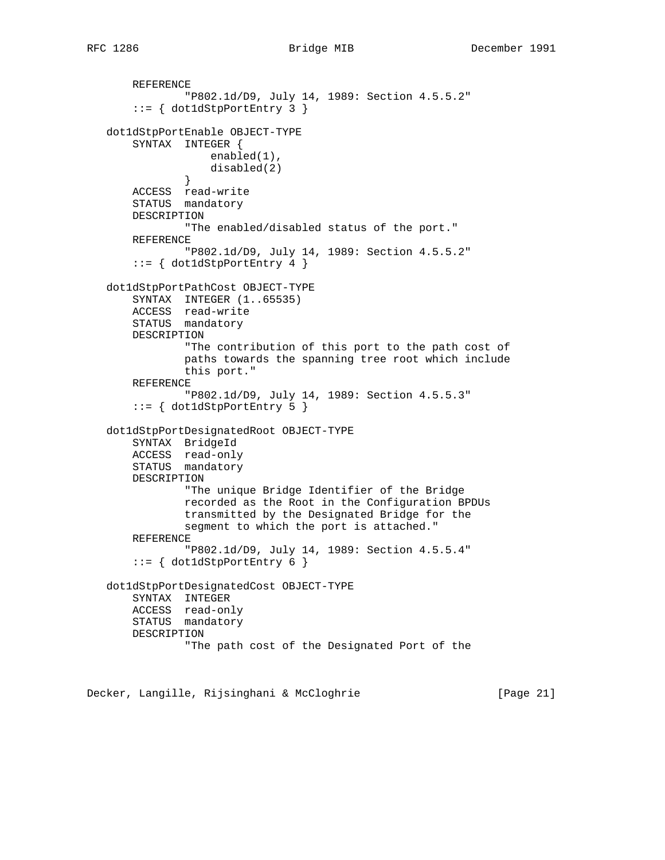```
 REFERENCE
              "P802.1d/D9, July 14, 1989: Section 4.5.5.2"
       ::= { dot1dStpPortEntry 3 }
  dot1dStpPortEnable OBJECT-TYPE
      SYNTAX INTEGER {
                   enabled(1),
              disabled(2)<br>}
}
      ACCESS read-write
      STATUS mandatory
      DESCRIPTION
              "The enabled/disabled status of the port."
      REFERENCE
              "P802.1d/D9, July 14, 1989: Section 4.5.5.2"
       ::= { dot1dStpPortEntry 4 }
  dot1dStpPortPathCost OBJECT-TYPE
      SYNTAX INTEGER (1..65535)
      ACCESS read-write
      STATUS mandatory
      DESCRIPTION
               "The contribution of this port to the path cost of
               paths towards the spanning tree root which include
              this port."
      REFERENCE
               "P802.1d/D9, July 14, 1989: Section 4.5.5.3"
      ::= { dot1dStpPortEntry 5 }
  dot1dStpPortDesignatedRoot OBJECT-TYPE
      SYNTAX BridgeId
      ACCESS read-only
      STATUS mandatory
      DESCRIPTION
               "The unique Bridge Identifier of the Bridge
               recorded as the Root in the Configuration BPDUs
               transmitted by the Designated Bridge for the
               segment to which the port is attached."
      REFERENCE
              "P802.1d/D9, July 14, 1989: Section 4.5.5.4"
      ::= \{ dot1dStepPortEntry 6 \} dot1dStpPortDesignatedCost OBJECT-TYPE
      SYNTAX INTEGER
      ACCESS read-only
      STATUS mandatory
      DESCRIPTION
               "The path cost of the Designated Port of the
```
Decker, Langille, Rijsinghani & McCloghrie [Page 21]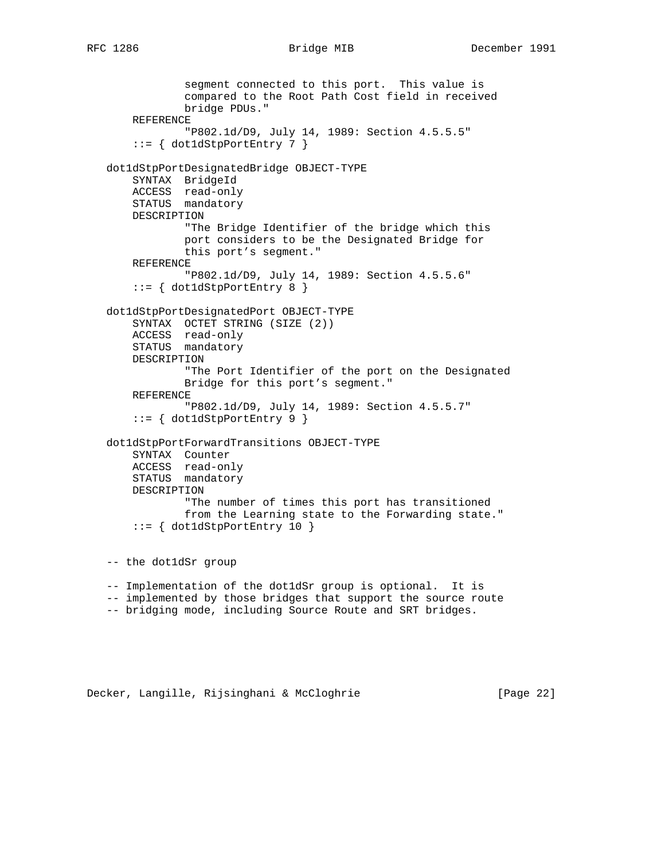```
 segment connected to this port. This value is
            compared to the Root Path Cost field in received
            bridge PDUs."
    REFERENCE
            "P802.1d/D9, July 14, 1989: Section 4.5.5.5"
    ::= { dot1dStpPortEntry 7 }
dot1dStpPortDesignatedBridge OBJECT-TYPE
    SYNTAX BridgeId
   ACCESS read-only
   STATUS mandatory
   DESCRIPTION
            "The Bridge Identifier of the bridge which this
            port considers to be the Designated Bridge for
            this port's segment."
    REFERENCE
            "P802.1d/D9, July 14, 1989: Section 4.5.5.6"
    ::= { dot1dStpPortEntry 8 }
dot1dStpPortDesignatedPort OBJECT-TYPE
   SYNTAX OCTET STRING (SIZE (2))
   ACCESS read-only
   STATUS mandatory
   DESCRIPTION
            "The Port Identifier of the port on the Designated
            Bridge for this port's segment."
    REFERENCE
            "P802.1d/D9, July 14, 1989: Section 4.5.5.7"
   ::= { dot1dStpPortEntry 9 }
dot1dStpPortForwardTransitions OBJECT-TYPE
    SYNTAX Counter
   ACCESS read-only
   STATUS mandatory
   DESCRIPTION
            "The number of times this port has transitioned
            from the Learning state to the Forwarding state."
   ::= { dot1dStpPortEntry 10 }
-- the dot1dSr group
-- Implementation of the dot1dSr group is optional. It is
-- implemented by those bridges that support the source route
-- bridging mode, including Source Route and SRT bridges.
```
Decker, Langille, Rijsinghani & McCloghrie [Page 22]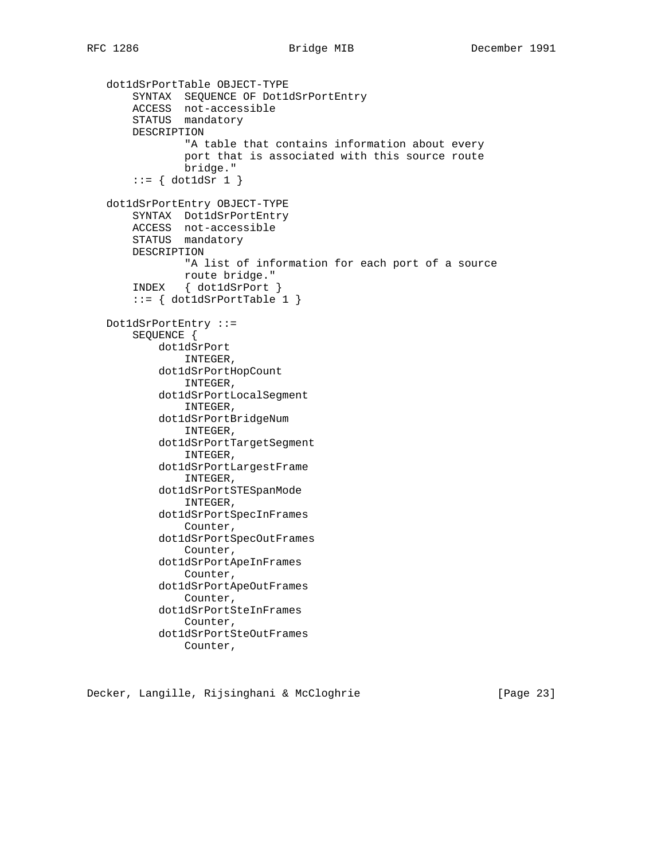```
 dot1dSrPortTable OBJECT-TYPE
SYNTAX SEQUENCE OF Dot1dSrPortEntry
ACCESS not-accessible
STATUS mandatory
      DESCRIPTION
               "A table that contains information about every
               port that is associated with this source route
               bridge."
      ::= \{ dot1 dSr 1 \} dot1dSrPortEntry OBJECT-TYPE
      SYNTAX Dot1dSrPortEntry
      ACCESS not-accessible
      STATUS mandatory
      DESCRIPTION
               "A list of information for each port of a source
              route bridge."
       INDEX { dot1dSrPort }
      ::= \{ dot1dSrPortTable 1 \} Dot1dSrPortEntry ::=
      SEQUENCE {
           dot1dSrPort
               INTEGER,
           dot1dSrPortHopCount
               INTEGER,
           dot1dSrPortLocalSegment
               INTEGER,
           dot1dSrPortBridgeNum
               INTEGER,
           dot1dSrPortTargetSegment
               INTEGER,
           dot1dSrPortLargestFrame
               INTEGER,
           dot1dSrPortSTESpanMode
               INTEGER,
           dot1dSrPortSpecInFrames
               Counter,
           dot1dSrPortSpecOutFrames
               Counter,
           dot1dSrPortApeInFrames
               Counter,
           dot1dSrPortApeOutFrames
               Counter,
           dot1dSrPortSteInFrames
               Counter,
           dot1dSrPortSteOutFrames
               Counter,
```
Decker, Langille, Rijsinghani & McCloghrie [Page 23]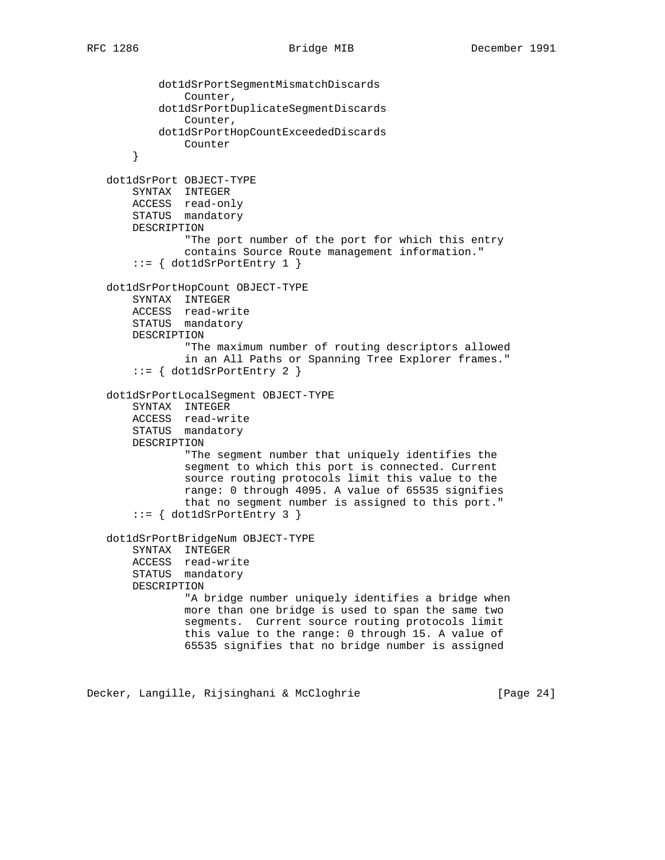```
 dot1dSrPortSegmentMismatchDiscards
            Counter,
        dot1dSrPortDuplicateSegmentDiscards
            Counter,
        dot1dSrPortHopCountExceededDiscards
            Counter
    }
dot1dSrPort OBJECT-TYPE
    SYNTAX INTEGER
   ACCESS read-only
   STATUS mandatory
   DESCRIPTION
            "The port number of the port for which this entry
            contains Source Route management information."
    ::= { dot1dSrPortEntry 1 }
dot1dSrPortHopCount OBJECT-TYPE
   SYNTAX INTEGER
   ACCESS read-write
   STATUS mandatory
    DESCRIPTION
            "The maximum number of routing descriptors allowed
            in an All Paths or Spanning Tree Explorer frames."
    ::= { dot1dSrPortEntry 2 }
dot1dSrPortLocalSegment OBJECT-TYPE
    SYNTAX INTEGER
    ACCESS read-write
   STATUS mandatory
   DESCRIPTION
            "The segment number that uniquely identifies the
            segment to which this port is connected. Current
            source routing protocols limit this value to the
            range: 0 through 4095. A value of 65535 signifies
            that no segment number is assigned to this port."
    ::= { dot1dSrPortEntry 3 }
dot1dSrPortBridgeNum OBJECT-TYPE
    SYNTAX INTEGER
    ACCESS read-write
    STATUS mandatory
   DESCRIPTION
            "A bridge number uniquely identifies a bridge when
            more than one bridge is used to span the same two
            segments. Current source routing protocols limit
            this value to the range: 0 through 15. A value of
            65535 signifies that no bridge number is assigned
```
Decker, Langille, Rijsinghani & McCloghrie [Page 24]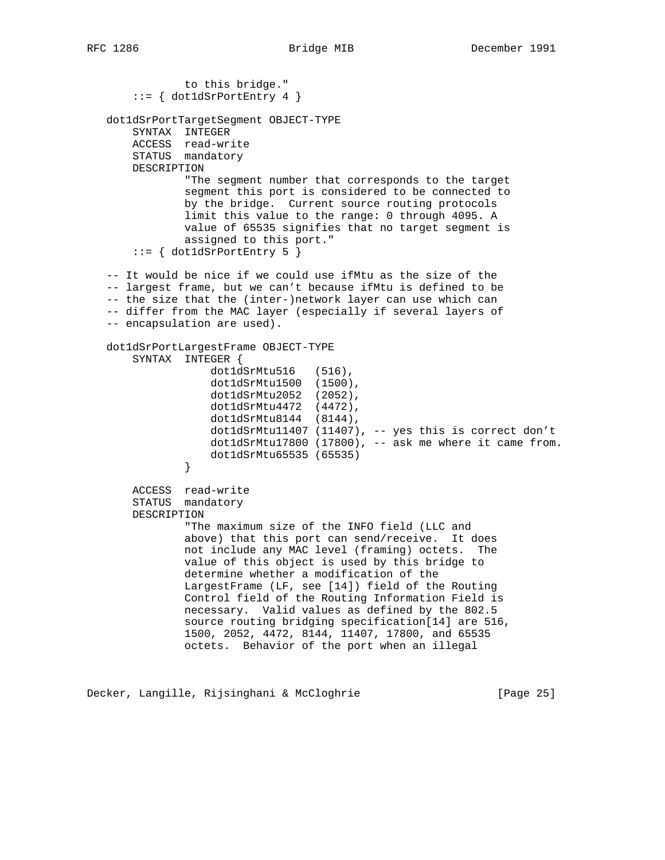```
 to this bridge."
      ::= \{ dot1dSrPortEntry 4 \} dot1dSrPortTargetSegment OBJECT-TYPE
      SYNTAX INTEGER
      ACCESS read-write
      STATUS mandatory
      DESCRIPTION
              "The segment number that corresponds to the target
              segment this port is considered to be connected to
              by the bridge. Current source routing protocols
              limit this value to the range: 0 through 4095. A
              value of 65535 signifies that no target segment is
              assigned to this port."
       ::= { dot1dSrPortEntry 5 }
  -- It would be nice if we could use ifMtu as the size of the
  -- largest frame, but we can't because ifMtu is defined to be
  -- the size that the (inter-)network layer can use which can
  -- differ from the MAC layer (especially if several layers of
  -- encapsulation are used).
  dot1dSrPortLargestFrame OBJECT-TYPE
      SYNTAX INTEGER {
                   dot1dSrMtu516 (516),
                   dot1dSrMtu1500 (1500),
                   dot1dSrMtu2052 (2052),
                   dot1dSrMtu4472 (4472),
                   dot1dSrMtu8144 (8144),
                   dot1dSrMtu11407 (11407), -- yes this is correct don't
                   dot1dSrMtu17800 (17800), -- ask me where it came from.
               dot1dSrMtu65535 (65535)
}
      ACCESS read-write
      STATUS mandatory
      DESCRIPTION
              "The maximum size of the INFO field (LLC and
              above) that this port can send/receive. It does
              not include any MAC level (framing) octets. The
              value of this object is used by this bridge to
              determine whether a modification of the
              LargestFrame (LF, see [14]) field of the Routing
              Control field of the Routing Information Field is
              necessary. Valid values as defined by the 802.5
              source routing bridging specification[14] are 516,
              1500, 2052, 4472, 8144, 11407, 17800, and 65535
              octets. Behavior of the port when an illegal
```
Decker, Langille, Rijsinghani & McCloghrie [Page 25]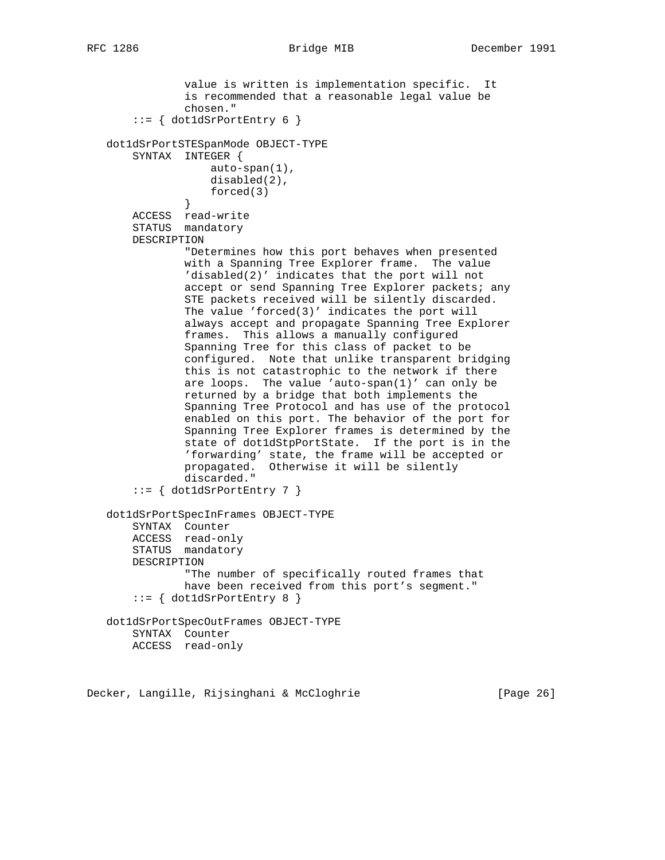```
RFC 1286 Bridge MIB December 1991
```

```
 value is written is implementation specific. It
              is recommended that a reasonable legal value be
              chosen."
      ::= { dot1dSrPortEntry 6 }
  dot1dSrPortSTESpanMode OBJECT-TYPE
      SYNTAX INTEGER {
                  auto-span(1),
                  disabled(2),
                  forced(3)
}
      ACCESS read-write
      STATUS mandatory
      DESCRIPTION
              "Determines how this port behaves when presented
              with a Spanning Tree Explorer frame. The value
              'disabled(2)' indicates that the port will not
             accept or send Spanning Tree Explorer packets; any
              STE packets received will be silently discarded.
              The value 'forced(3)' indicates the port will
              always accept and propagate Spanning Tree Explorer
              frames. This allows a manually configured
              Spanning Tree for this class of packet to be
              configured. Note that unlike transparent bridging
              this is not catastrophic to the network if there
are loops. The value 'auto-span(1)' can only be
returned by a bridge that both implements the
              Spanning Tree Protocol and has use of the protocol
              enabled on this port. The behavior of the port for
              Spanning Tree Explorer frames is determined by the
              state of dot1dStpPortState. If the port is in the
              'forwarding' state, the frame will be accepted or
              propagated. Otherwise it will be silently
              discarded."
     ::= \{ dot1dSrPortEntry 7 \} dot1dSrPortSpecInFrames OBJECT-TYPE
      SYNTAX Counter
ACCESS read-only
STATUS mandatory
      DESCRIPTION
              "The number of specifically routed frames that
              have been received from this port's segment."
     ::= { dot1dSrPortEntry 8 }
  dot1dSrPortSpecOutFrames OBJECT-TYPE
      SYNTAX Counter
      ACCESS read-only
```
Decker, Langille, Rijsinghani & McCloghrie [Page 26]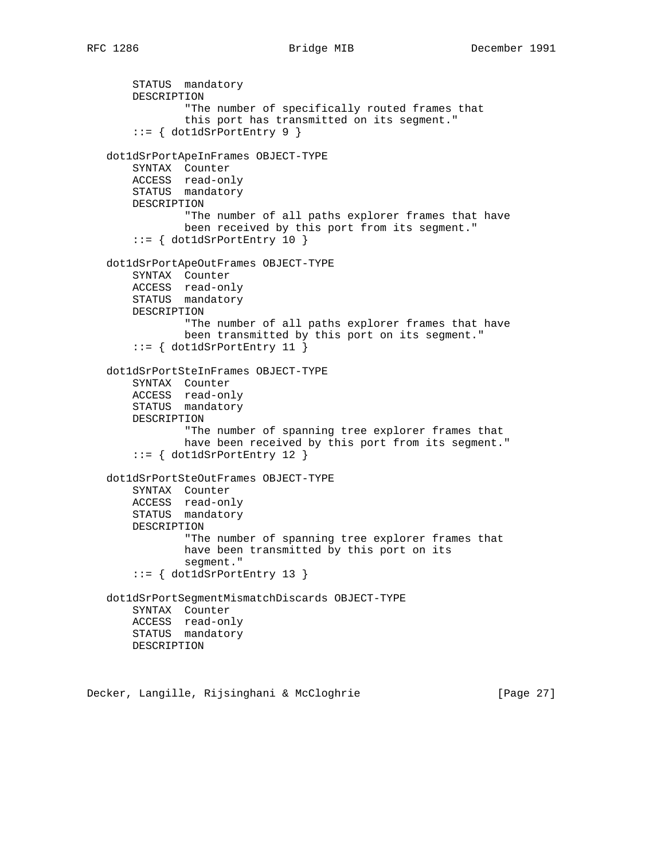STATUS mandatory DESCRIPTION "The number of specifically routed frames that this port has transmitted on its segment." ::= { dot1dSrPortEntry 9 } dot1dSrPortApeInFrames OBJECT-TYPE SYNTAX Counter ACCESS read-only STATUS mandatory DESCRIPTION "The number of all paths explorer frames that have been received by this port from its segment."  $::= \{ dot1dSrPortEntry 10 \}$  dot1dSrPortApeOutFrames OBJECT-TYPE SYNTAX Counter ACCESS read-only STATUS mandatory DESCRIPTION "The number of all paths explorer frames that have been transmitted by this port on its segment." ::= { dot1dSrPortEntry 11 } dot1dSrPortSteInFrames OBJECT-TYPE SYNTAX Counter ACCESS read-only STATUS mandatory DESCRIPTION "The number of spanning tree explorer frames that have been received by this port from its segment." ::= { dot1dSrPortEntry 12 } dot1dSrPortSteOutFrames OBJECT-TYPE SYNTAX Counter ACCESS read-only STATUS mandatory DESCRIPTION "The number of spanning tree explorer frames that have been transmitted by this port on its segment." ::= { dot1dSrPortEntry 13 } dot1dSrPortSegmentMismatchDiscards OBJECT-TYPE SYNTAX Counter ACCESS read-only STATUS mandatory DESCRIPTION

Decker, Langille, Rijsinghani & McCloghrie [Page 27]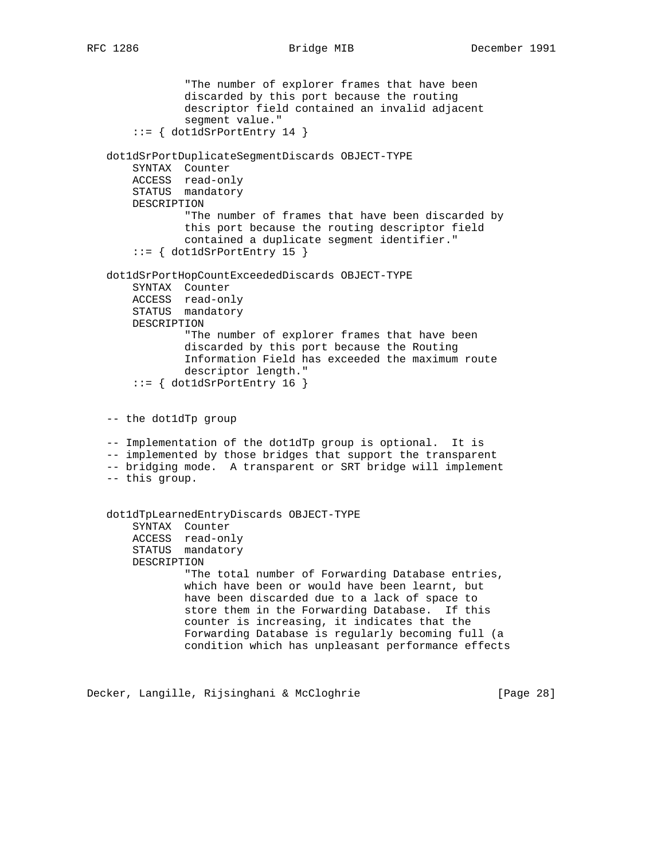"The number of explorer frames that have been discarded by this port because the routing descriptor field contained an invalid adjacent segment value."  $::=$  { dot1dSrPortEntry 14 } dot1dSrPortDuplicateSegmentDiscards OBJECT-TYPE SYNTAX Counter ACCESS read-only STATUS mandatory DESCRIPTION "The number of frames that have been discarded by this port because the routing descriptor field contained a duplicate segment identifier."  $::=$  { dot1dSrPortEntry 15 } dot1dSrPortHopCountExceededDiscards OBJECT-TYPE SYNTAX Counter ACCESS read-only STATUS mandatory DESCRIPTION "The number of explorer frames that have been discarded by this port because the Routing Information Field has exceeded the maximum route descriptor length."  $::=$  { dot1dSrPortEntry 16 } -- the dot1dTp group -- Implementation of the dot1dTp group is optional. It is -- implemented by those bridges that support the transparent -- bridging mode. A transparent or SRT bridge will implement -- this group. dot1dTpLearnedEntryDiscards OBJECT-TYPE SYNTAX Counter ACCESS read-only STATUS mandatory DESCRIPTION "The total number of Forwarding Database entries, which have been or would have been learnt, but have been discarded due to a lack of space to store them in the Forwarding Database. If this counter is increasing, it indicates that the Forwarding Database is regularly becoming full (a condition which has unpleasant performance effects

Decker, Langille, Rijsinghani & McCloghrie [Page 28]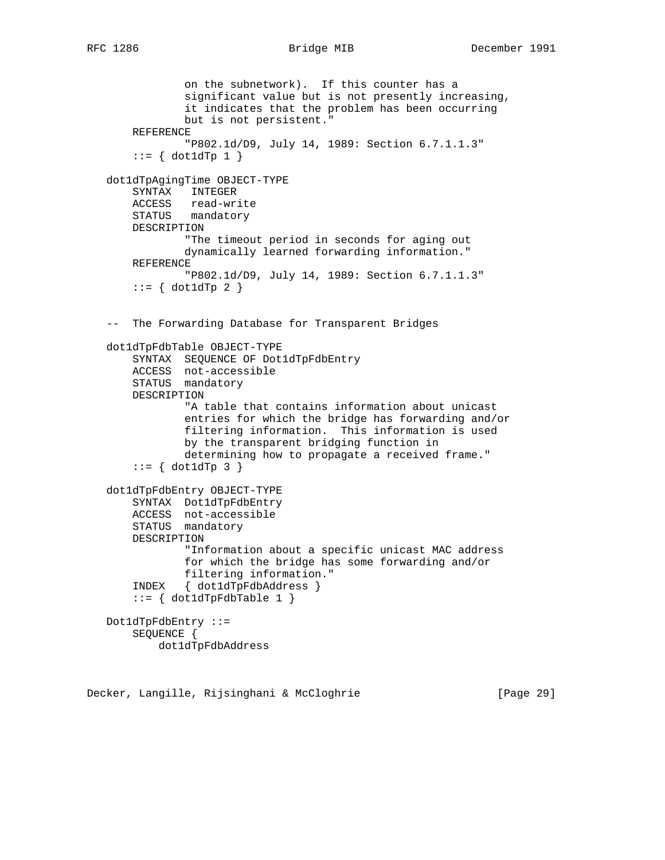filtering information. This information is used

determining how to propagate a received frame."

 "Information about a specific unicast MAC address for which the bridge has some forwarding and/or

by the transparent bridging function in

 $::=$  { dot1dTp 3 }

DESCRIPTION

 Dot1dTpFdbEntry ::= SEQUENCE {

 dot1dTpFdbEntry OBJECT-TYPE SYNTAX Dot1dTpFdbEntry ACCESS not-accessible STATUS mandatory

```
 on the subnetwork). If this counter has a
            significant value but is not presently increasing,
            it indicates that the problem has been occurring
            but is not persistent."
    REFERENCE
            "P802.1d/D9, July 14, 1989: Section 6.7.1.1.3"
   ::= \{ dot1dTp 1 \} dot1dTpAgingTime OBJECT-TYPE
    SYNTAX INTEGER
   ACCESS read-write
   STATUS mandatory
   DESCRIPTION
            "The timeout period in seconds for aging out
            dynamically learned forwarding information."
    REFERENCE
            "P802.1d/D9, July 14, 1989: Section 6.7.1.1.3"
   ::= { dot1dTp 2 }
-- The Forwarding Database for Transparent Bridges
dot1dTpFdbTable OBJECT-TYPE
    SYNTAX SEQUENCE OF Dot1dTpFdbEntry
   ACCESS not-accessible
   STATUS mandatory
   DESCRIPTION
            "A table that contains information about unicast
            entries for which the bridge has forwarding and/or
```
Decker, Langille, Rijsinghani & McCloghrie [Page 29]

filtering information."

 INDEX { dot1dTpFdbAddress }  $::= \{ dot1dTpFdbTable 1 \}$ 

dot1dTpFdbAddress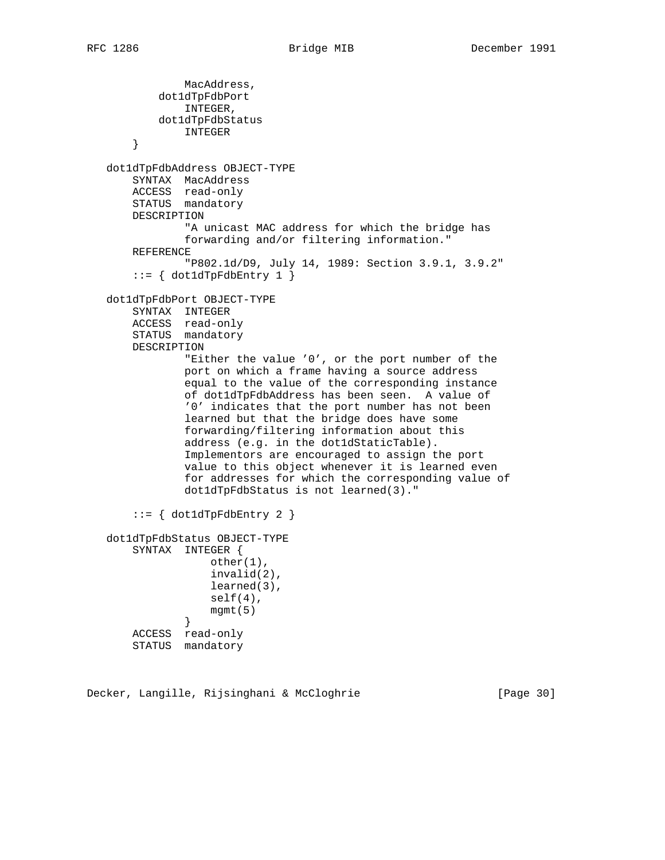```
 MacAddress,
          dot1dTpFdbPort
               INTEGER,
          dot1dTpFdbStatus
              INTEGER
       }
  dot1dTpFdbAddress OBJECT-TYPE
       SYNTAX MacAddress
      ACCESS read-only
      STATUS mandatory
      DESCRIPTION
               "A unicast MAC address for which the bridge has
               forwarding and/or filtering information."
      REFERENCE
               "P802.1d/D9, July 14, 1989: Section 3.9.1, 3.9.2"
      ::= \{ dot1dTpFdbEntry 1 \} dot1dTpFdbPort OBJECT-TYPE
      SYNTAX INTEGER
      ACCESS read-only
      STATUS mandatory
      DESCRIPTION
               "Either the value '0', or the port number of the
               port on which a frame having a source address
               equal to the value of the corresponding instance
               of dot1dTpFdbAddress has been seen. A value of
               '0' indicates that the port number has not been
               learned but that the bridge does have some
               forwarding/filtering information about this
               address (e.g. in the dot1dStaticTable).
               Implementors are encouraged to assign the port
               value to this object whenever it is learned even
               for addresses for which the corresponding value of
               dot1dTpFdbStatus is not learned(3)."
      ::= { dot1dTpFdbEntry 2 }
  dot1dTpFdbStatus OBJECT-TYPE
      SYNTAX INTEGER {
                  other(1),
                   invalid(2),
                   learned(3),
                  self(4),
              mgmt(5) }
      ACCESS read-only
      STATUS mandatory
```
Decker, Langille, Rijsinghani & McCloghrie [Page 30]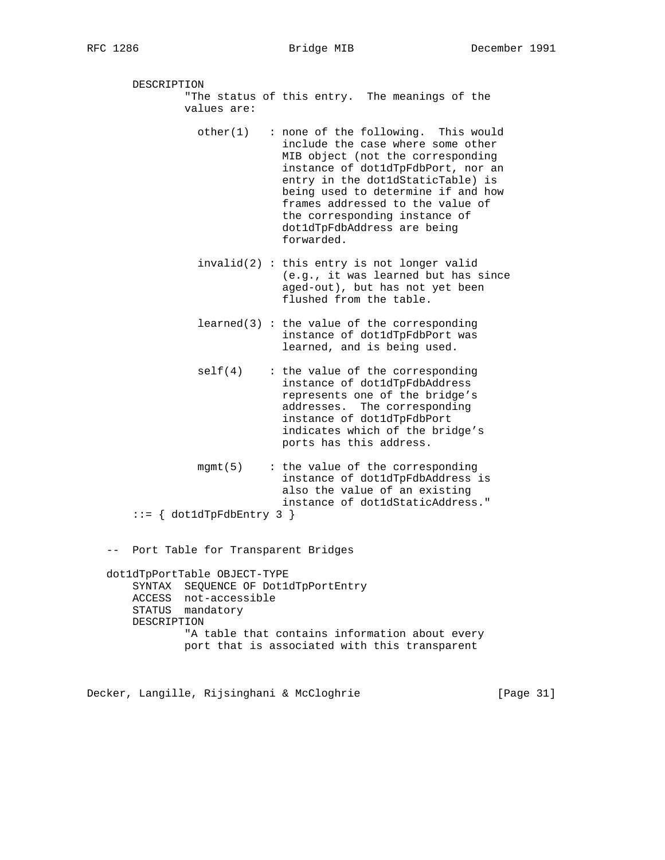DESCRIPTION "The status of this entry. The meanings of the values are:

- other(1) : none of the following. This would include the case where some other MIB object (not the corresponding instance of dot1dTpFdbPort, nor an entry in the dot1dStaticTable) is being used to determine if and how frames addressed to the value of the corresponding instance of dot1dTpFdbAddress are being forwarded.
- invalid(2) : this entry is not longer valid (e.g., it was learned but has since aged-out), but has not yet been flushed from the table.
- $learned(3)$ : the value of the corresponding instance of dot1dTpFdbPort was learned, and is being used.
- self(4) : the value of the corresponding instance of dot1dTpFdbAddress represents one of the bridge's addresses. The corresponding instance of dot1dTpFdbPort indicates which of the bridge's ports has this address.
	- $mgmt(5)$  : the value of the corresponding instance of dot1dTpFdbAddress is also the value of an existing instance of dot1dStaticAddress."
	- ::= { dot1dTpFdbEntry 3 }

-- Port Table for Transparent Bridges

```
 dot1dTpPortTable OBJECT-TYPE
    SYNTAX SEQUENCE OF Dot1dTpPortEntry
   ACCESS not-accessible
   STATUS mandatory
   DESCRIPTION
            "A table that contains information about every
            port that is associated with this transparent
```
Decker, Langille, Rijsinghani & McCloghrie [Page 31]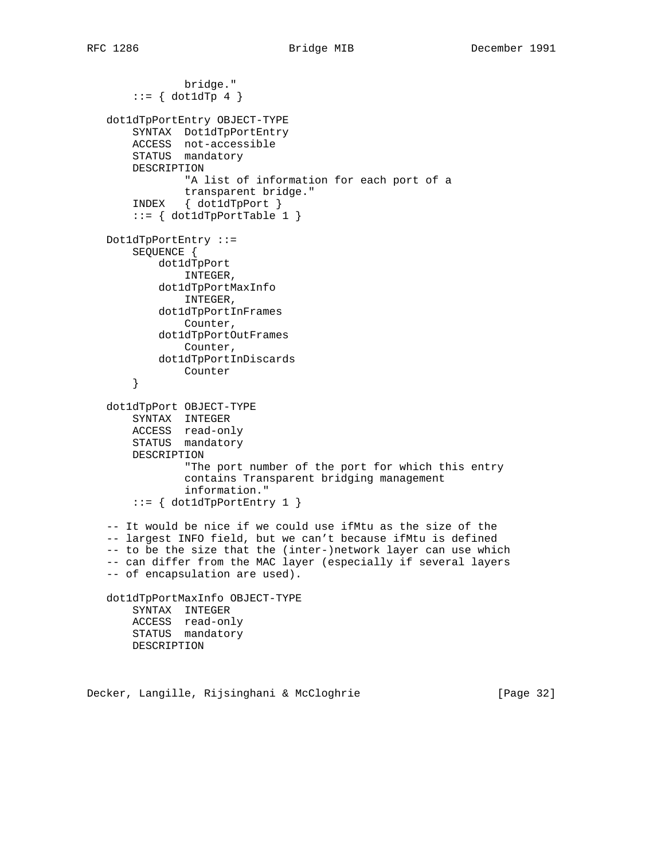```
 bridge."
      ::= { dot1dTp 4 }
  dot1dTpPortEntry OBJECT-TYPE
       SYNTAX Dot1dTpPortEntry
      ACCESS not-accessible
      STATUS mandatory
      DESCRIPTION
               "A list of information for each port of a
              transparent bridge."
       INDEX { dot1dTpPort }
      ::= { dot1dTpPortTable 1 }
  Dot1dTpPortEntry ::=
      SEQUENCE {
          dot1dTpPort
              INTEGER,
           dot1dTpPortMaxInfo
              INTEGER,
           dot1dTpPortInFrames
               Counter,
           dot1dTpPortOutFrames
               Counter,
          dot1dTpPortInDiscards
               Counter
       }
  dot1dTpPort OBJECT-TYPE
SYNTAX INTEGER
ACCESS read-only
      STATUS mandatory
      DESCRIPTION
               "The port number of the port for which this entry
               contains Transparent bridging management
               information."
      ::= { dot1dTpPortEntry 1 }
  -- It would be nice if we could use ifMtu as the size of the
  -- largest INFO field, but we can't because ifMtu is defined
  -- to be the size that the (inter-)network layer can use which
  -- can differ from the MAC layer (especially if several layers
  -- of encapsulation are used).
  dot1dTpPortMaxInfo OBJECT-TYPE
      SYNTAX INTEGER
      ACCESS read-only
      STATUS mandatory
      DESCRIPTION
```
Decker, Langille, Rijsinghani & McCloghrie [Page 32]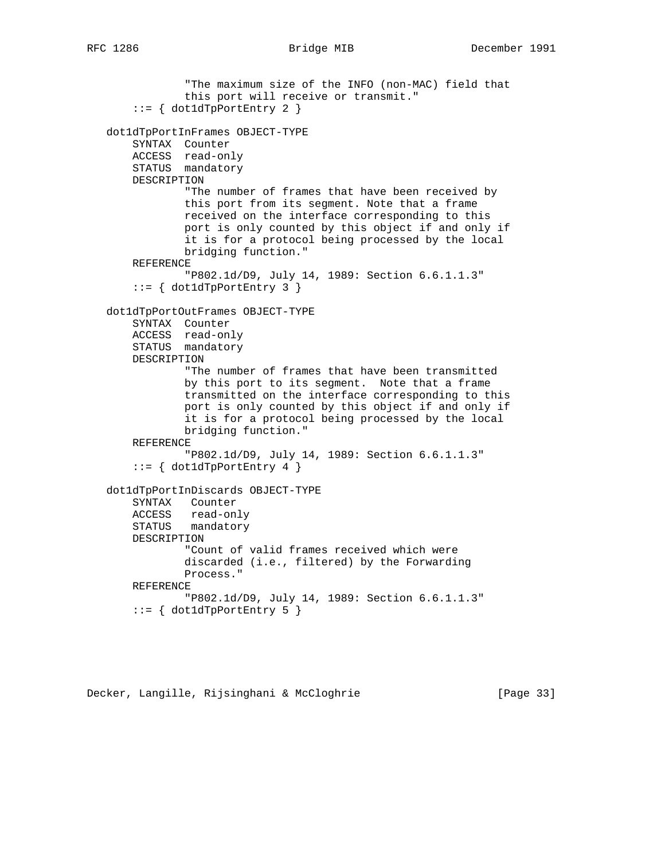```
 "The maximum size of the INFO (non-MAC) field that
            this port will receive or transmit."
   ::= { dot1dTpPortEntry 2 }
dot1dTpPortInFrames OBJECT-TYPE
    SYNTAX Counter
    ACCESS read-only
    STATUS mandatory
   DESCRIPTION
            "The number of frames that have been received by
            this port from its segment. Note that a frame
            received on the interface corresponding to this
            port is only counted by this object if and only if
            it is for a protocol being processed by the local
            bridging function."
    REFERENCE
            "P802.1d/D9, July 14, 1989: Section 6.6.1.1.3"
    ::= { dot1dTpPortEntry 3 }
dot1dTpPortOutFrames OBJECT-TYPE
   SYNTAX Counter
   ACCESS read-only
   STATUS mandatory
   DESCRIPTION
            "The number of frames that have been transmitted
            by this port to its segment. Note that a frame
            transmitted on the interface corresponding to this
            port is only counted by this object if and only if
            it is for a protocol being processed by the local
            bridging function."
    REFERENCE
            "P802.1d/D9, July 14, 1989: Section 6.6.1.1.3"
   ::= { dot1dTpPortEntry 4 }
dot1dTpPortInDiscards OBJECT-TYPE
   SYNTAX Counter
   ACCESS read-only
    STATUS mandatory
   DESCRIPTION
            "Count of valid frames received which were
            discarded (i.e., filtered) by the Forwarding
            Process."
    REFERENCE
            "P802.1d/D9, July 14, 1989: Section 6.6.1.1.3"
   ::= { dot1dTpPortEntry 5 }
```
Decker, Langille, Rijsinghani & McCloghrie [Page 33]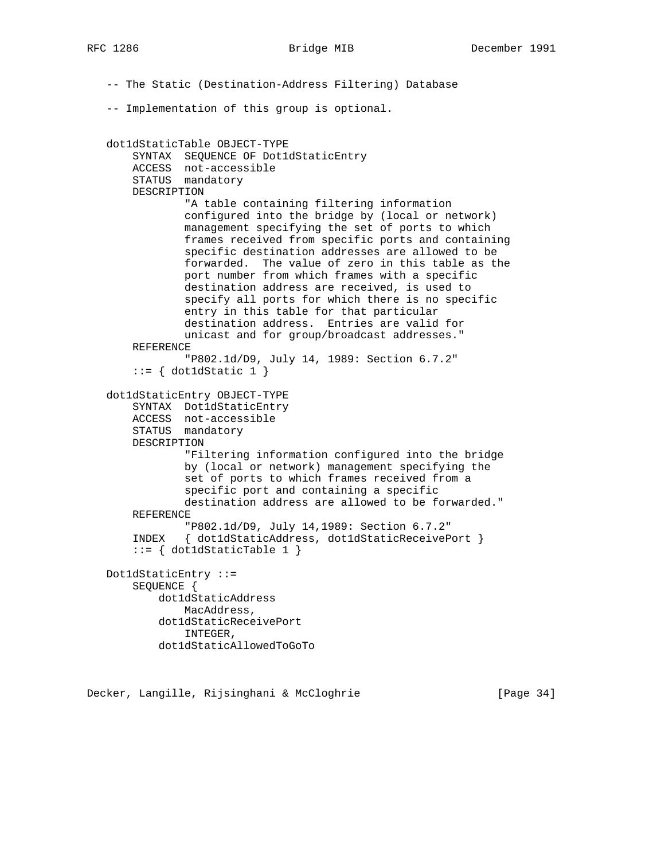-- The Static (Destination-Address Filtering) Database -- Implementation of this group is optional. dot1dStaticTable OBJECT-TYPE SYNTAX SEQUENCE OF Dot1dStaticEntry ACCESS not-accessible STATUS mandatory DESCRIPTION "A table containing filtering information configured into the bridge by (local or network) management specifying the set of ports to which frames received from specific ports and containing specific destination addresses are allowed to be forwarded. The value of zero in this table as the port number from which frames with a specific destination address are received, is used to specify all ports for which there is no specific entry in this table for that particular destination address. Entries are valid for unicast and for group/broadcast addresses." REFERENCE "P802.1d/D9, July 14, 1989: Section 6.7.2"  $::= \{ dot1dStatic 1 \}$  dot1dStaticEntry OBJECT-TYPE SYNTAX Dot1dStaticEntry ACCESS not-accessible STATUS mandatory DESCRIPTION "Filtering information configured into the bridge by (local or network) management specifying the set of ports to which frames received from a specific port and containing a specific destination address are allowed to be forwarded." REFERENCE "P802.1d/D9, July 14,1989: Section 6.7.2" INDEX { dot1dStaticAddress, dot1dStaticReceivePort }  $::= \{ dot1dStaticTable 1 \}$  Dot1dStaticEntry ::= SEQUENCE { dot1dStaticAddress MacAddress, dot1dStaticReceivePort INTEGER, dot1dStaticAllowedToGoTo

Decker, Langille, Rijsinghani & McCloghrie [Page 34]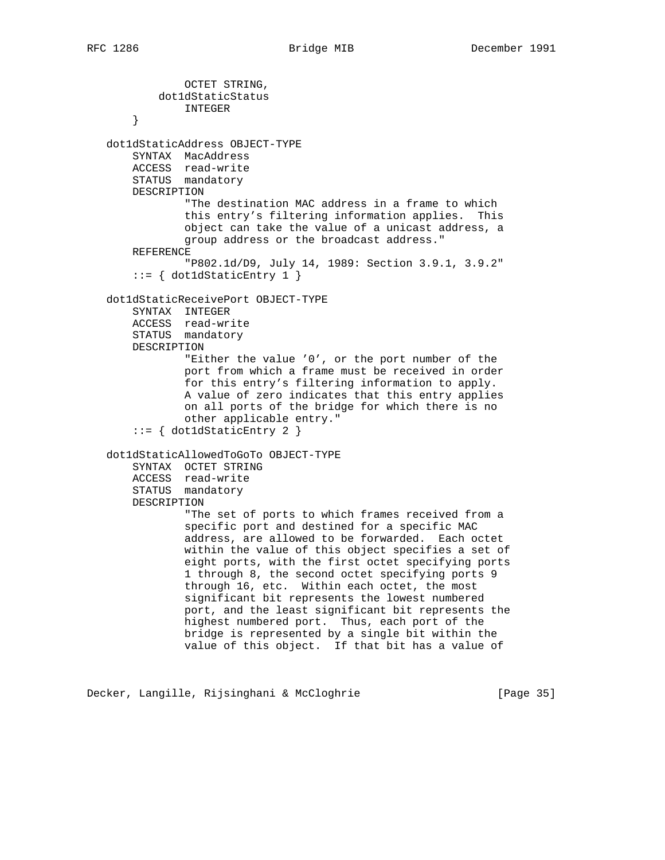OCTET STRING, dot1dStaticStatus INTEGER } dot1dStaticAddress OBJECT-TYPE SYNTAX MacAddress ACCESS read-write STATUS mandatory DESCRIPTION "The destination MAC address in a frame to which this entry's filtering information applies. This object can take the value of a unicast address, a group address or the broadcast address." REFERENCE "P802.1d/D9, July 14, 1989: Section 3.9.1, 3.9.2"  $::= \{ dot1dStaticEntry 1 \}$  dot1dStaticReceivePort OBJECT-TYPE SYNTAX INTEGER ACCESS read-write STATUS mandatory DESCRIPTION "Either the value '0', or the port number of the port from which a frame must be received in order for this entry's filtering information to apply. A value of zero indicates that this entry applies on all ports of the bridge for which there is no other applicable entry." ::= { dot1dStaticEntry 2 } dot1dStaticAllowedToGoTo OBJECT-TYPE SYNTAX OCTET STRING ACCESS read-write STATUS mandatory DESCRIPTION "The set of ports to which frames received from a specific port and destined for a specific MAC address, are allowed to be forwarded. Each octet within the value of this object specifies a set of eight ports, with the first octet specifying ports 1 through 8, the second octet specifying ports 9 through 16, etc. Within each octet, the most significant bit represents the lowest numbered port, and the least significant bit represents the highest numbered port. Thus, each port of the bridge is represented by a single bit within the value of this object. If that bit has a value of

Decker, Langille, Rijsinghani & McCloghrie [Page 35]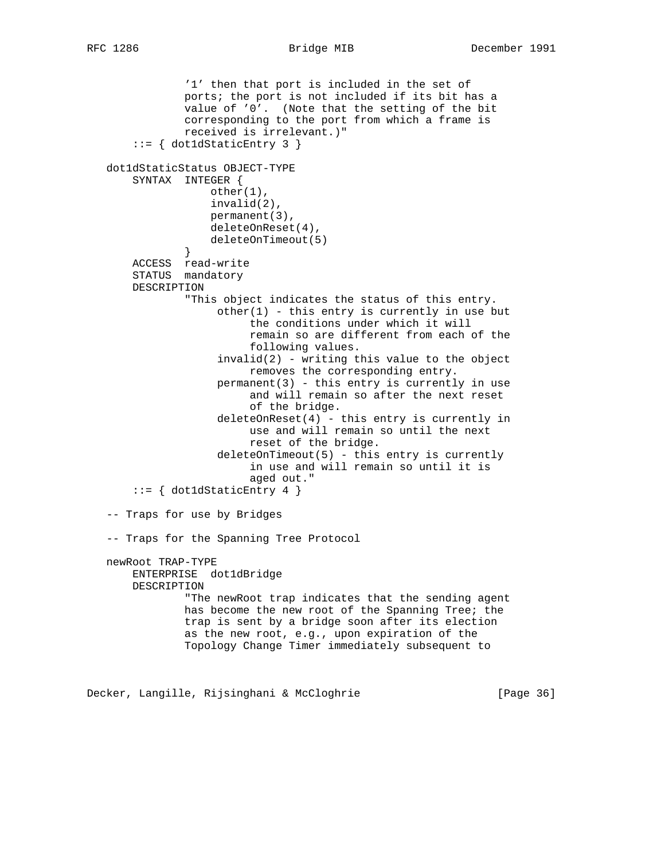'1' then that port is included in the set of ports; the port is not included if its bit has a value of '0'. (Note that the setting of the bit corresponding to the port from which a frame is received is irrelevant.)" ::= { dot1dStaticEntry 3 } dot1dStaticStatus OBJECT-TYPE SYNTAX INTEGER { other(1), invalid(2), permanent(3), deleteOnReset(4), deleteOnTimeout(5)<br>} } ACCESS read-write STATUS mandatory DESCRIPTION "This object indicates the status of this entry.  $other(1)$  - this entry is currently in use but the conditions under which it will remain so are different from each of the following values.  $invalid(2)$  - writing this value to the object removes the corresponding entry. permanent(3) - this entry is currently in use and will remain so after the next reset of the bridge. deleteOnReset(4) - this entry is currently in use and will remain so until the next reset of the bridge. deleteOnTimeout(5) - this entry is currently in use and will remain so until it is aged out." ::= { dot1dStaticEntry 4 } -- Traps for use by Bridges -- Traps for the Spanning Tree Protocol newRoot TRAP-TYPE ENTERPRISE dot1dBridge DESCRIPTION "The newRoot trap indicates that the sending agent has become the new root of the Spanning Tree; the trap is sent by a bridge soon after its election as the new root, e.g., upon expiration of the Topology Change Timer immediately subsequent to

Decker, Langille, Rijsinghani & McCloghrie [Page 36]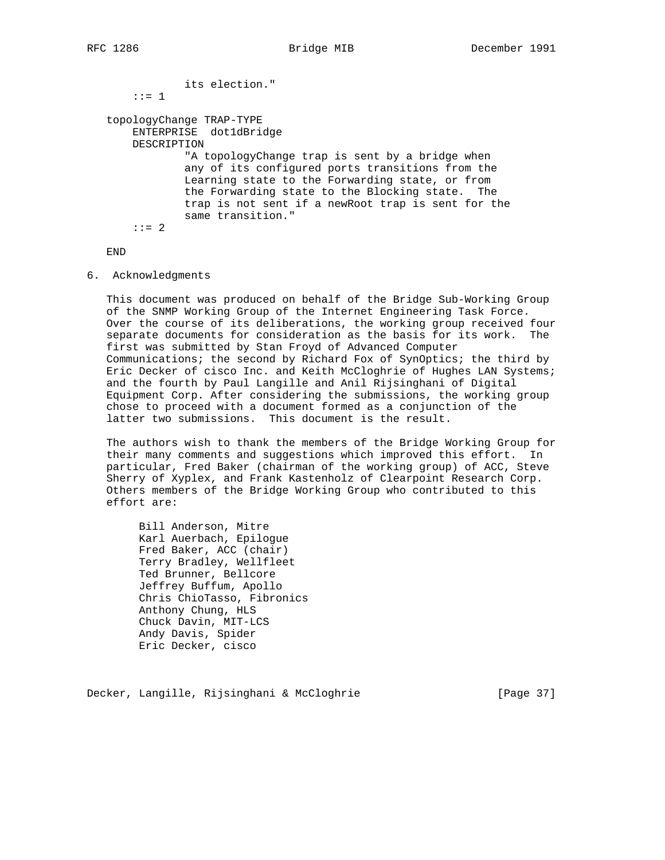```
 its election."
    ::= 1
topologyChange TRAP-TYPE
    ENTERPRISE dot1dBridge
    DESCRIPTION
            "A topologyChange trap is sent by a bridge when
            any of its configured ports transitions from the
            Learning state to the Forwarding state, or from
            the Forwarding state to the Blocking state. The
            trap is not sent if a newRoot trap is sent for the
            same transition."
   : := 2
```
END

6. Acknowledgments

 This document was produced on behalf of the Bridge Sub-Working Group of the SNMP Working Group of the Internet Engineering Task Force. Over the course of its deliberations, the working group received four separate documents for consideration as the basis for its work. The first was submitted by Stan Froyd of Advanced Computer Communications; the second by Richard Fox of SynOptics; the third by Eric Decker of cisco Inc. and Keith McCloghrie of Hughes LAN Systems; and the fourth by Paul Langille and Anil Rijsinghani of Digital Equipment Corp. After considering the submissions, the working group chose to proceed with a document formed as a conjunction of the latter two submissions. This document is the result.

 The authors wish to thank the members of the Bridge Working Group for their many comments and suggestions which improved this effort. In particular, Fred Baker (chairman of the working group) of ACC, Steve Sherry of Xyplex, and Frank Kastenholz of Clearpoint Research Corp. Others members of the Bridge Working Group who contributed to this effort are:

 Bill Anderson, Mitre Karl Auerbach, Epilogue Fred Baker, ACC (chair) Terry Bradley, Wellfleet Ted Brunner, Bellcore Jeffrey Buffum, Apollo Chris ChioTasso, Fibronics Anthony Chung, HLS Chuck Davin, MIT-LCS Andy Davis, Spider Eric Decker, cisco

Decker, Langille, Rijsinghani & McCloghrie [Page 37]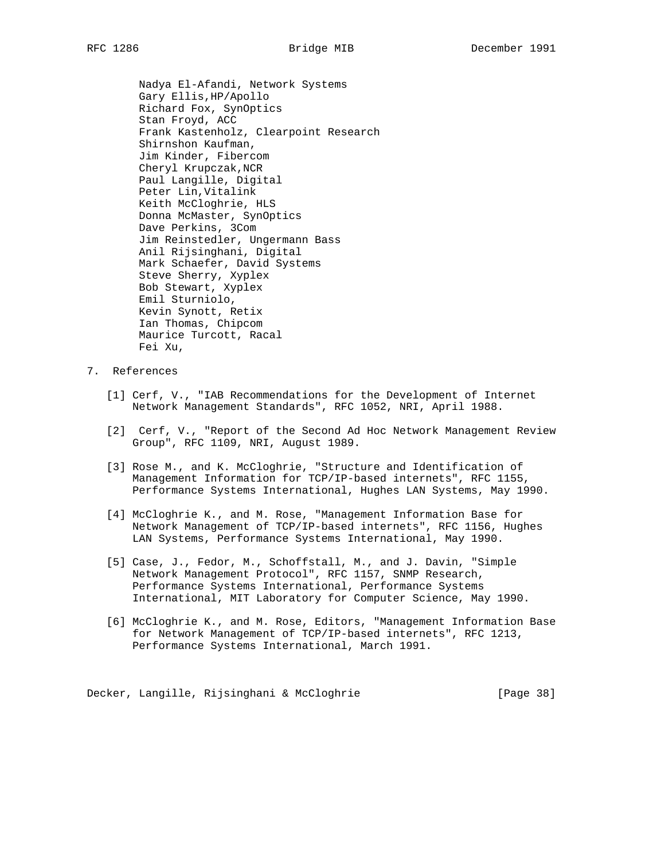Nadya El-Afandi, Network Systems Gary Ellis,HP/Apollo Richard Fox, SynOptics Stan Froyd, ACC Frank Kastenholz, Clearpoint Research Shirnshon Kaufman, Jim Kinder, Fibercom Cheryl Krupczak,NCR Paul Langille, Digital Peter Lin,Vitalink Keith McCloghrie, HLS Donna McMaster, SynOptics Dave Perkins, 3Com Jim Reinstedler, Ungermann Bass Anil Rijsinghani, Digital Mark Schaefer, David Systems Steve Sherry, Xyplex Bob Stewart, Xyplex Emil Sturniolo, Kevin Synott, Retix Ian Thomas, Chipcom Maurice Turcott, Racal Fei Xu,

# 7. References

- [1] Cerf, V., "IAB Recommendations for the Development of Internet Network Management Standards", RFC 1052, NRI, April 1988.
- [2] Cerf, V., "Report of the Second Ad Hoc Network Management Review Group", RFC 1109, NRI, August 1989.
- [3] Rose M., and K. McCloghrie, "Structure and Identification of Management Information for TCP/IP-based internets", RFC 1155, Performance Systems International, Hughes LAN Systems, May 1990.
- [4] McCloghrie K., and M. Rose, "Management Information Base for Network Management of TCP/IP-based internets", RFC 1156, Hughes LAN Systems, Performance Systems International, May 1990.
- [5] Case, J., Fedor, M., Schoffstall, M., and J. Davin, "Simple Network Management Protocol", RFC 1157, SNMP Research, Performance Systems International, Performance Systems International, MIT Laboratory for Computer Science, May 1990.
- [6] McCloghrie K., and M. Rose, Editors, "Management Information Base for Network Management of TCP/IP-based internets", RFC 1213, Performance Systems International, March 1991.

Decker, Langille, Rijsinghani & McCloghrie [Page 38]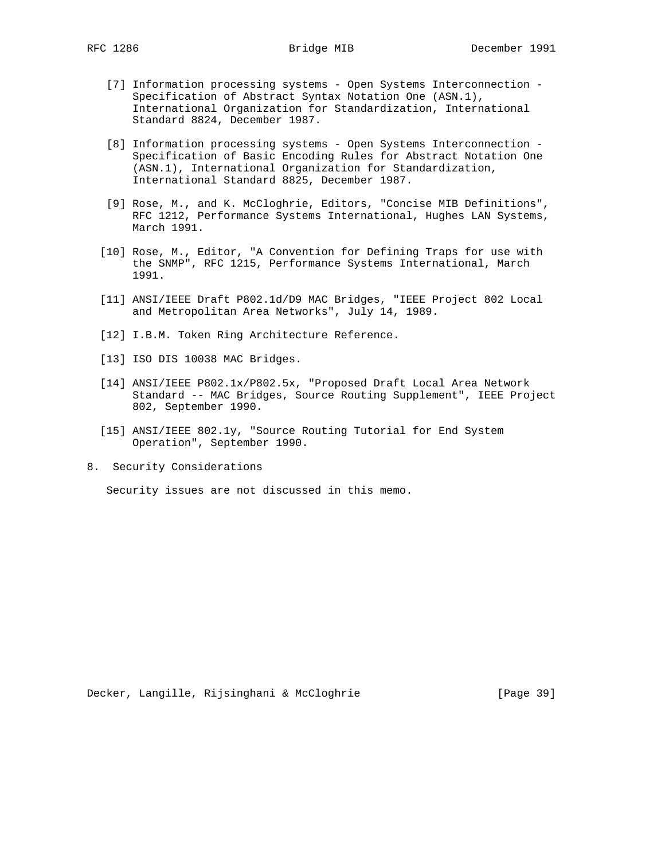- [7] Information processing systems Open Systems Interconnection Specification of Abstract Syntax Notation One (ASN.1), International Organization for Standardization, International Standard 8824, December 1987.
- [8] Information processing systems Open Systems Interconnection Specification of Basic Encoding Rules for Abstract Notation One (ASN.1), International Organization for Standardization, International Standard 8825, December 1987.
- [9] Rose, M., and K. McCloghrie, Editors, "Concise MIB Definitions", RFC 1212, Performance Systems International, Hughes LAN Systems, March 1991.
- [10] Rose, M., Editor, "A Convention for Defining Traps for use with the SNMP", RFC 1215, Performance Systems International, March 1991.
- [11] ANSI/IEEE Draft P802.1d/D9 MAC Bridges, "IEEE Project 802 Local and Metropolitan Area Networks", July 14, 1989.
- [12] I.B.M. Token Ring Architecture Reference.
- [13] ISO DIS 10038 MAC Bridges.
- [14] ANSI/IEEE P802.1x/P802.5x, "Proposed Draft Local Area Network Standard -- MAC Bridges, Source Routing Supplement", IEEE Project 802, September 1990.
- [15] ANSI/IEEE 802.1y, "Source Routing Tutorial for End System Operation", September 1990.
- 8. Security Considerations

Security issues are not discussed in this memo.

Decker, Langille, Rijsinghani & McCloghrie [Page 39]